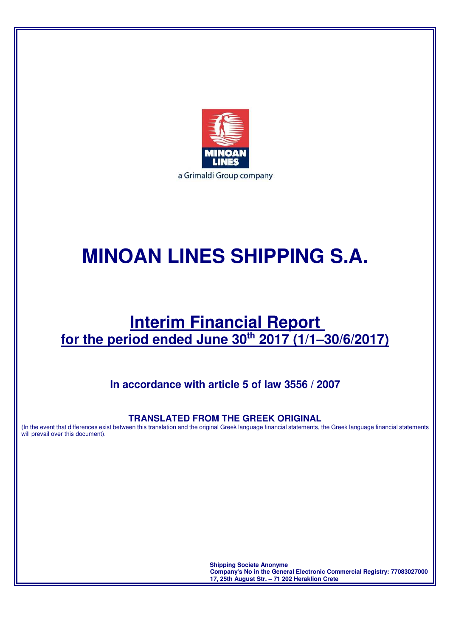

# **MINOAN LINES SHIPPING S.A.**

## **Interim Financial Report for the period ended June 30th 2017 (1/1–30/6/2017)**

### **In accordance with article 5 of law 3556 / 2007**

### **TRANSLATED FROM THE GREEK ORIGINAL**

(In the event that differences exist between this translation and the original Greek language financial statements, the Greek language financial statements will prevail over this document).

> **Shipping Societe Anonyme Company's No in the General Electronic Commercial Registry: 77083027000 17, 25th August Str. – 71 202 Heraklion Crete**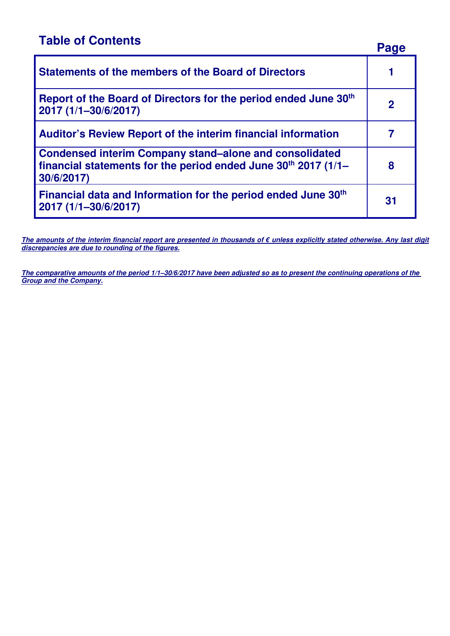## **Table of Contents**

|                                                                                                                                                 | Page |
|-------------------------------------------------------------------------------------------------------------------------------------------------|------|
| <b>Statements of the members of the Board of Directors</b>                                                                                      |      |
| Report of the Board of Directors for the period ended June 30th<br>2017 (1/1-30/6/2017)                                                         | 2    |
| <b>Auditor's Review Report of the interim financial information</b>                                                                             |      |
| <b>Condensed interim Company stand–alone and consolidated</b><br>financial statements for the period ended June $30th$ 2017 (1/1–<br>30/6/2017) | 8    |
| Financial data and Information for the period ended June 30th<br>2017 (1/1-30/6/2017)                                                           | 31   |

**The amounts of the interim financial report are presented in thousands of € unless explicitly stated otherwise. Any last digit discrepancies are due to rounding of the figures.** 

**The comparative amounts of the period 1/1–30/6/2017 have been adjusted so as to present the continuing operations of the Group and the Company.**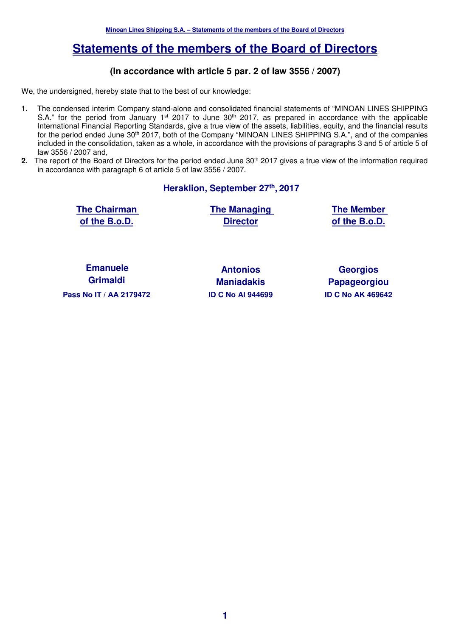### **Statements of the members of the Board of Directors**

#### **(In accordance with article 5 par. 2 of law 3556 / 2007)**

We, the undersigned, hereby state that to the best of our knowledge:

- **1.** The condensed interim Company stand-alone and consolidated financial statements of "MINOAN LINES SHIPPING S.A." for the period from January 1<sup>st</sup> 2017 to June 30<sup>th</sup> 2017, as prepared in accordance with the applicable International Financial Reporting Standards, give a true view of the assets, liabilities, equity, and the financial results for the period ended June 30th 2017, both of the Company "MINOAN LINES SHIPPING S.A.", and of the companies included in the consolidation, taken as a whole, in accordance with the provisions of paragraphs 3 and 5 of article 5 of law 3556 / 2007 and,
- 2. The report of the Board of Directors for the period ended June 30<sup>th</sup> 2017 gives a true view of the information required in accordance with paragraph 6 of article 5 of law 3556 / 2007.

**Heraklion, September 27th , 2017** 

**The Chairman of the B.o.D.** 

**The Managing Director**

**The Member of the B.o.D.** 

**Emanuele Grimaldi Pass Nο IT / ΑΑ 2179472 ID C Nο AI 944699 ID C Nο ΑΚ 469642** 

**Antonios Maniadakis** 

**Georgios Papageorgiou**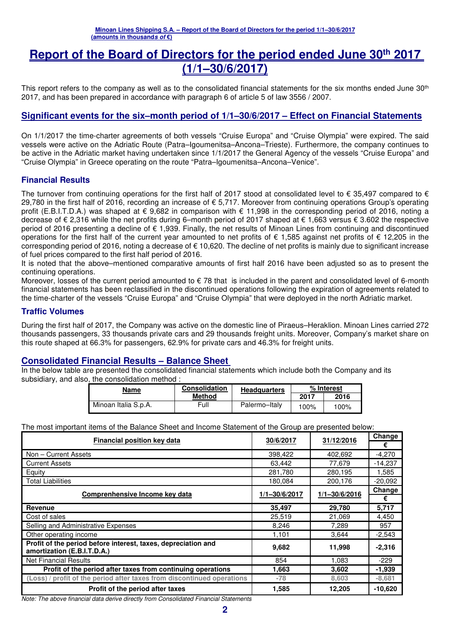### **Report of the Board of Directors for the period ended June 30th 2017 (1/1–30/6/2017)**

This report refers to the company as well as to the consolidated financial statements for the six months ended June 30<sup>th</sup> 2017, and has been prepared in accordance with paragraph 6 of article 5 of law 3556 / 2007.

### **Significant events for the six–month period of 1/1–30/6/2017 – Effect on Financial Statements**

On 1/1/2017 the time-charter agreements of both vessels "Cruise Europa" and "Cruise Olympia" were expired. The said vessels were active on the Adriatic Route (Patra–Igoumenitsa–Ancona–Trieste). Furthermore, the company continues to be active in the Adriatic market having undertaken since 1/1/2017 the General Agency of the vessels "Cruise Europa" and "Cruise Olympia" in Greece operating on the route "Patra–Igoumenitsa–Ancona–Venice".

#### **Financial Results**

The turnover from continuing operations for the first half of 2017 stood at consolidated level to  $\epsilon$  35,497 compared to  $\epsilon$ 29,780 in the first half of 2016, recording an increase of € 5,717. Moreover from continuing operations Group's operating profit (E.B.I.T.D.A.) was shaped at  $\epsilon$  9,682 in comparison with  $\epsilon$  11,998 in the corresponding period of 2016, noting a decrease of € 2,316 while the net profits during 6–month period of 2017 shaped at € 1,663 versus € 3.602 the respective period of 2016 presenting a decline of € 1,939. Finally, the net results of Minoan Lines from continuing and discontinued operations for the first half of the current year amounted to net profits of € 1,585 against net profits of € 12,205 in the corresponding period of 2016, noting a decrease of € 10,620. The decline of net profits is mainly due to significant increase of fuel prices compared to the first half period of 2016.

It is noted that the above–mentioned comparative amounts of first half 2016 have been adjusted so as to present the continuing operations.

Moreover, losses of the current period amounted to  $\epsilon$  78 that is included in the parent and consolidated level of 6-month financial statements has been reclassified in the discontinued operations following the expiration of agreements related to the time-charter of the vessels "Cruise Europa" and "Cruise Olympia" that were deployed in the north Adriatic market.

#### **Traffic Volumes**

During the first half of 2017, the Company was active on the domestic line of Piraeus–Heraklion. Minoan Lines carried 272 thousands passengers, 33 thousands private cars and 29 thousands freight units. Moreover, Company's market share on this route shaped at 66.3% for passengers, 62.9% for private cars and 46.3% for freight units.

#### **Consolidated Financial Results – Balance Sheet**

In the below table are presented the consolidated financial statements which include both the Company and its subsidiary, and also, the consolidation method :

| Name                 | <b>Consolidation</b> | <b>Headquarters</b> |      | % Interest |
|----------------------|----------------------|---------------------|------|------------|
|                      | Method               |                     | 2017 | 2016       |
| Minoan Italia S.p.A. | Full                 | Palermo-Italy       | 100% | 100%       |

The most important items of the Balance Sheet and Income Statement of the Group are presented below:

| Financial position key data                                                                  | 30/6/2017     | 31/12/2016        | Change    |
|----------------------------------------------------------------------------------------------|---------------|-------------------|-----------|
|                                                                                              |               |                   | €         |
| Non - Current Assets                                                                         | 398,422       | 402.692           | $-4.270$  |
| <b>Current Assets</b>                                                                        | 63,442        | 77,679            | $-14,237$ |
| Equity                                                                                       | 281,780       | 280,195           | 1,585     |
| <b>Total Liabilities</b>                                                                     | 180,084       | 200,176           | $-20,092$ |
| Comprenhensive Income key data                                                               | 1/1-30/6/2017 | $1/1 - 30/6/2016$ | Change    |
|                                                                                              |               |                   | €         |
| Revenue                                                                                      | 35,497        | 29,780            | 5,717     |
| Cost of sales                                                                                | 25,519        | 21,069            | 4,450     |
| Selling and Administrative Expenses                                                          | 8,246         | 7,289             | 957       |
| Other operating income                                                                       | 1,101         | 3,644             | $-2,543$  |
| Profit of the period before interest, taxes, depreciation and<br>amortization (E.B.I.T.D.A.) | 9,682         | 11,998            | $-2,316$  |
| <b>Net Financial Results</b>                                                                 | 854           | 1.083             | $-229$    |
| Profit of the period after taxes from continuing operations                                  | 1,663         | 3,602             | $-1,939$  |
| (Loss) / profit of the period after taxes from discontinued operations                       | $-78$         | 8,603             | $-8,681$  |
| Profit of the period after taxes                                                             | 1,585         | 12.205            | $-10.620$ |

Note: The above financial data derive directly from Consolidated Financial Statements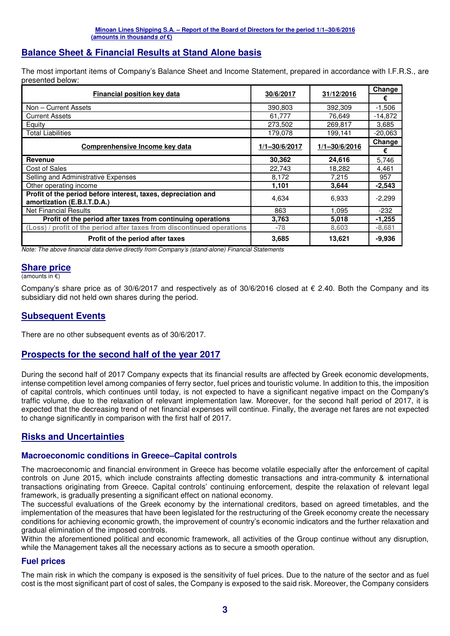### **Balance Sheet & Financial Results at Stand Alone basis**

The most important items of Company's Balance Sheet and Income Statement, prepared in accordance with I.F.R.S., are presented below:

| <b>Financial position key data</b>                                                           | 30/6/2017     | 31/12/2016        | Change    |
|----------------------------------------------------------------------------------------------|---------------|-------------------|-----------|
|                                                                                              |               |                   | €         |
| Non - Current Assets                                                                         | 390,803       | 392,309           | $-1,506$  |
| <b>Current Assets</b>                                                                        | 61,777        | 76,649            | $-14,872$ |
| Equity                                                                                       | 273,502       | 269,817           | 3,685     |
| <b>Total Liabilities</b>                                                                     | 179,078       | 199,141           | $-20,063$ |
|                                                                                              | 1/1-30/6/2017 | $1/1 - 30/6/2016$ | Change    |
| Comprenhensive Income key data                                                               |               |                   | €         |
| Revenue                                                                                      | 30,362        | 24,616            | 5,746     |
| <b>Cost of Sales</b>                                                                         | 22,743        | 18,282            | 4,461     |
| Selling and Administrative Expenses                                                          | 8,172         | 7,215             | 957       |
| Other operating income                                                                       | 1,101         | 3,644             | $-2,543$  |
| Profit of the period before interest, taxes, depreciation and<br>amortization (E.B.I.T.D.A.) | 4,634         | 6,933             | $-2,299$  |
| <b>Net Financial Results</b>                                                                 | 863           | 1,095             | $-232$    |
| Profit of the period after taxes from continuing operations                                  | 3,763         | 5,018             | $-1,255$  |
| (Loss) / profit of the period after taxes from discontinued operations                       | $-78$         | 8,603             | $-8,681$  |
| Profit of the period after taxes                                                             | 3,685         | 13,621            | $-9.936$  |

Note: The above financial data derive directly from Company's (stand-alone) Financial Statements

#### **Share price**

(amounts in €)

Company's share price as of 30/6/2017 and respectively as of 30/6/2016 closed at  $\epsilon$  2.40. Both the Company and its subsidiary did not held own shares during the period.

#### **Subsequent Events**

There are no other subsequent events as of 30/6/2017.

#### **Prospects for the second half of the year 2017**

During the second half of 2017 Company expects that its financial results are affected by Greek economic developments, intense competition level among companies of ferry sector, fuel prices and touristic volume. In addition to this, the imposition of capital controls, which continues until today, is not expected to have a significant negative impact on the Company's traffic volume, due to the relaxation of relevant implementation law. Moreover, for the second half period of 2017, it is expected that the decreasing trend of net financial expenses will continue. Finally, the average net fares are not expected to change significantly in comparison with the first half of 2017.

### **Risks and Uncertainties**

### **Macroeconomic conditions in Greece–Capital controls**

The macroeconomic and financial environment in Greece has become volatile especially after the enforcement of capital controls on June 2015, which include constraints affecting domestic transactions and intra-community & international transactions originating from Greece. Capital controls' continuing enforcement, despite the relaxation of relevant legal framework, is gradually presenting a significant effect on national economy.

The successful evaluations of the Greek economy by the international creditors, based on agreed timetables, and the implementation of the measures that have been legislated for the restructuring of the Greek economy create the necessary conditions for achieving economic growth, the improvement of country's economic indicators and the further relaxation and gradual elimination of the imposed controls.

Within the aforementioned political and economic framework, all activities of the Group continue without any disruption, while the Management takes all the necessary actions as to secure a smooth operation.

#### **Fuel prices**

The main risk in which the company is exposed is the sensitivity of fuel prices. Due to the nature of the sector and as fuel cost is the most significant part of cost of sales, the Company is exposed to the said risk. Moreover, the Company considers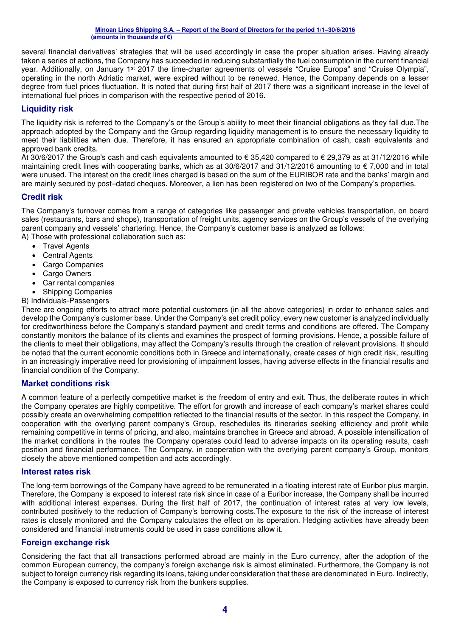several financial derivatives' strategies that will be used accordingly in case the proper situation arises. Having already taken a series of actions, the Company has succeeded in reducing substantially the fuel consumption in the current financial year. Additionally, on January 1<sup>st</sup> 2017 the time-charter agreements of vessels "Cruise Europa" and "Cruise Olympia", operating in the north Adriatic market, were expired without to be renewed. Hence, the Company depends on a lesser degree from fuel prices fluctuation. It is noted that during first half of 2017 there was a significant increase in the level of international fuel prices in comparison with the respective period of 2016.

### **Liquidity risk**

The liquidity risk is referred to the Company's or the Group's ability to meet their financial obligations as they fall due.The approach adopted by the Company and the Group regarding liquidity management is to ensure the necessary liquidity to meet their liabilities when due. Therefore, it has ensured an appropriate combination of cash, cash equivalents and approved bank credits.

At 30/6/2017 the Group's cash and cash equivalents amounted to € 35,420 compared to € 29,379 as at 31/12/2016 while maintaining credit lines with cooperating banks, which as at  $30/6/2017$  and  $31/12/2016$  amounting to  $\epsilon$  7,000 and in total were unused. The interest on the credit lines charged is based on the sum of the EURIBOR rate and the banks' margin and are mainly secured by post–dated cheques. Moreover, a lien has been registered on two of the Company's properties.

#### **Credit risk**

The Company's turnover comes from a range of categories like passenger and private vehicles transportation, on board sales (restaurants, bars and shops), transportation of freight units, agency services on the Group's vessels of the overlying parent company and vessels' chartering. Hence, the Company's customer base is analyzed as follows: A) Those with professional collaboration such as:

- Travel Agents
- Central Agents
- Cargo Companies
- Cargo Owners
- Car rental companies
- Shipping Companies
- B) Individuals-Passengers

There are ongoing efforts to attract more potential customers (in all the above categories) in order to enhance sales and develop the Company's customer base. Under the Company's set credit policy, every new customer is analyzed individually for creditworthiness before the Company's standard payment and credit terms and conditions are offered. The Company constantly monitors the balance of its clients and examines the prospect of forming provisions. Hence, a possible failure of the clients to meet their obligations, may affect the Company's results through the creation of relevant provisions. It should be noted that the current economic conditions both in Greece and internationally, create cases of high credit risk, resulting in an increasingly imperative need for provisioning of impairment losses, having adverse effects in the financial results and financial condition of the Company.

#### **Market conditions risk**

A common feature of a perfectly competitive market is the freedom of entry and exit. Thus, the deliberate routes in which the Company operates are highly competitive. The effort for growth and increase of each company's market shares could possibly create an overwhelming competition reflected to the financial results of the sector. In this respect the Company, in cooperation with the overlying parent company's Group, reschedules its itineraries seeking efficiency and profit while remaining competitive in terms of pricing, and also, maintains branches in Greece and abroad. A possible intensification of the market conditions in the routes the Company operates could lead to adverse impacts on its operating results, cash position and financial performance. The Company, in cooperation with the overlying parent company's Group, monitors closely the above mentioned competition and acts accordingly.

#### **Interest rates risk**

The long-term borrowings of the Company have agreed to be remunerated in a floating interest rate of Euribor plus margin. Therefore, the Company is exposed to interest rate risk since in case of a Euribor increase, the Company shall be incurred with additional interest expenses. During the first half of 2017, the continuation of interest rates at very low levels, contributed positively to the reduction of Company's borrowing costs.The exposure to the risk of the increase of interest rates is closely monitored and the Company calculates the effect on its operation. Hedging activities have already been considered and financial instruments could be used in case conditions allow it.

#### **Foreign exchange risk**

Considering the fact that all transactions performed abroad are mainly in the Euro currency, after the adoption of the common European currency, the company's foreign exchange risk is almost eliminated. Furthermore, the Company is not subject to foreign currency risk regarding its loans, taking under consideration that these are denominated in Euro. Indirectly, the Company is exposed to currency risk from the bunkers supplies.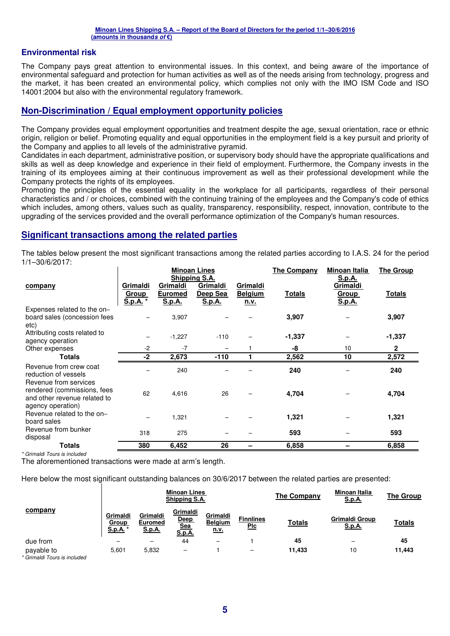#### **Environmental risk**

The Company pays great attention to environmental issues. In this context, and being aware of the importance of environmental safeguard and protection for human activities as well as of the needs arising from technology, progress and the market, it has been created an environmental policy, which complies not only with the IMO ISM Code and ISO 14001:2004 but also with the environmental regulatory framework.

#### **Non-Discrimination / Equal employment opportunity policies**

The Company provides equal employment opportunities and treatment despite the age, sexual orientation, race or ethnic origin, religion or belief. Promoting equality and equal opportunities in the employment field is a key pursuit and priority of the Company and applies to all levels of the administrative pyramid.

Candidates in each department, administrative position, or supervisory body should have the appropriate qualifications and skills as well as deep knowledge and experience in their field of employment. Furthermore, the Company invests in the training of its employees aiming at their continuous improvement as well as their professional development while the Company protects the rights of its employees.

Promoting the principles of the essential equality in the workplace for all participants, regardless of their personal characteristics and / or choices, combined with the continuing training of the employees and the Company's code of ethics which includes, among others, values such as quality, transparency, responsibility, respect, innovation, contribute to the upgrading of the services provided and the overall performance optimization of the Company's human resources.

#### **Significant transactions among the related parties**

The tables below present the most significant transactions among the related parties according to I.A.S. 24 for the period 1/1–30/6/2017:

|                                                                                  |                               |                                      | <b>Minoan Lines</b>                             |                                    | <b>The Company</b> | <b>Minoan Italia</b>                                | <b>The Group</b> |
|----------------------------------------------------------------------------------|-------------------------------|--------------------------------------|-------------------------------------------------|------------------------------------|--------------------|-----------------------------------------------------|------------------|
| company                                                                          | Grimaldi<br>Group<br>S.p.A. * | Grimaldi<br><b>Euromed</b><br>S.p.A. | Shipping S.A.<br>Grimaldi<br>Deep Sea<br>S.p.A. | Grimaldi<br><b>Belgium</b><br>n.v. | <u>Totals</u>      | <u>S.p.A.</u><br>Grimaldi<br><u>Group</u><br>S.p.A. | <u>Totals</u>    |
| Expenses related to the on-<br>board sales (concession fees<br>etc)              |                               | 3,907                                |                                                 |                                    | 3,907              |                                                     | 3,907            |
| Attributing costs related to<br>agency operation                                 |                               | $-1,227$                             | $-110$                                          |                                    | $-1,337$           |                                                     | $-1,337$         |
| Other expenses                                                                   | $-2$                          | $-7$                                 |                                                 |                                    | -8                 | 10                                                  | $\mathbf{2}$     |
| <b>Totals</b>                                                                    | $-2$                          | 2,673                                | $-110$                                          |                                    | 2,562              | 10                                                  | 2,572            |
| Revenue from crew coat<br>reduction of vessels<br>Revenue from services          |                               | 240                                  |                                                 |                                    | 240                |                                                     | 240              |
| rendered (commissions, fees<br>and other revenue related to<br>agency operation) | 62                            | 4,616                                | 26                                              |                                    | 4,704              |                                                     | 4,704            |
| Revenue related to the on-<br>board sales                                        |                               | 1,321                                |                                                 |                                    | 1,321              |                                                     | 1,321            |
| Revenue from bunker<br>disposal                                                  | 318                           | 275                                  |                                                 |                                    | 593                |                                                     | 593              |
| Totals                                                                           | 380                           | 6.452                                | 26                                              |                                    | 6,858              |                                                     | 6,858            |

\* Grimaldi Tours is included

The aforementioned transactions were made at arm's length.

Here below the most significant outstanding balances on 30/6/2017 between the related parties are presented:

|            |                                      |                                      | <b>Minoan Lines</b><br>Shipping S.A.            |                                           |                                | <b>The Company</b> | Minoan Italia<br>S.p.A.         | The Group     |
|------------|--------------------------------------|--------------------------------------|-------------------------------------------------|-------------------------------------------|--------------------------------|--------------------|---------------------------------|---------------|
| company    | Grimaldi<br>Group<br><u>S.p.A.</u> * | Grimaldi<br>Euromed<br><u>S.p.A.</u> | Grimaldi<br>Deep<br><u>Sea</u><br><b>S.p.A.</b> | Grimaldi<br><b>Belgium</b><br><u>n.v.</u> | <b>Finnlines</b><br><b>Plc</b> | <u>Totals</u>      | Grimaldi Group<br><u>S.p.A.</u> | <u>Totals</u> |
| due from   |                                      | —                                    | 44                                              | -                                         |                                | 45                 | -                               | 45            |
| payable to | 5,601                                | 5,832                                | -                                               |                                           | $\qquad \qquad$                | 11,433             | 10                              | 11,443        |

\* Grimaldi Tours is included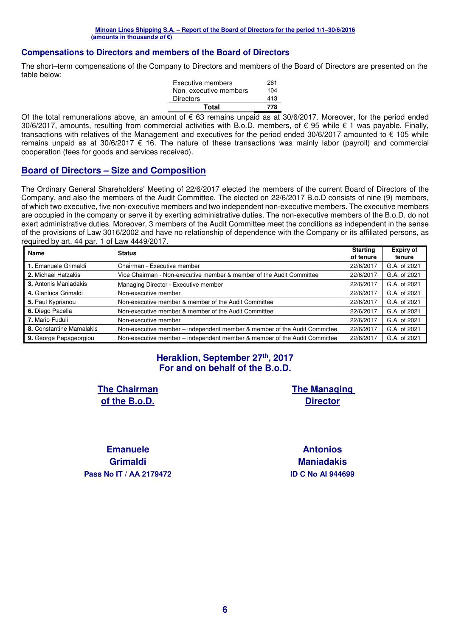#### **Compensations to Directors and members of the Board of Directors**

The short–term compensations of the Company to Directors and members of the Board of Directors are presented on the table below:

| Executive members     | 261 |
|-----------------------|-----|
| Non-executive members | 104 |
| <b>Directors</b>      | 413 |
| Total                 | 778 |

Of the total remunerations above, an amount of  $\epsilon$  63 remains unpaid as at 30/6/2017. Moreover, for the period ended 30/6/2017, amounts, resulting from commercial activities with B.o.D. members, of € 95 while € 1 was payable. Finally, transactions with relatives of the Management and executives for the period ended 30/6/2017 amounted to € 105 while remains unpaid as at 30/6/2017 € 16. The nature of these transactions was mainly labor (payroll) and commercial cooperation (fees for goods and services received).

#### **Board of Directors – Size and Composition**

The Ordinary General Shareholders' Meeting of 22/6/2017 elected the members of the current Board of Directors of the Company, and also the members of the Audit Committee. The elected on 22/6/2017 B.o.D consists of nine (9) members, of which two executive, five non-executive members and two independent non-executive members. The executive members are occupied in the company or serve it by exerting administrative duties. The non-executive members of the B.o.D. do not exert administrative duties. Moreover, 3 members of the Audit Committee meet the conditions as independent in the sense of the provisions of Law 3016/2002 and have no relationship of dependence with the Company or its affiliated persons, as required by art. 44 par. 1 of Law 4449/2017.

| <b>Name</b>                  | <b>Status</b>                                                             | <b>Starting</b><br>of tenure | <b>Expiry of</b><br>tenure |
|------------------------------|---------------------------------------------------------------------------|------------------------------|----------------------------|
| 1. Emanuele Grimaldi         | Chairman - Executive member                                               | 22/6/2017                    | G.A. of 2021               |
| 2. Michael Hatzakis          | Vice Chairman - Non-executive member & member of the Audit Committee      | 22/6/2017                    | G.A. of 2021               |
| <b>3.</b> Antonis Maniadakis | Managing Director - Executive member                                      | 22/6/2017                    | G.A. of 2021               |
| 4. Gianluca Grimaldi         | Non-executive member                                                      | 22/6/2017                    | G.A. of 2021               |
| 5. Paul Kyprianou            | Non-executive member & member of the Audit Committee                      | 22/6/2017                    | G.A. of 2021               |
| 6. Diego Pacella             | Non-executive member & member of the Audit Committee                      | 22/6/2017                    | G.A. of 2021               |
| 7. Mario Fuduli              | Non-executive member                                                      | 22/6/2017                    | G.A. of 2021               |
| 8. Constantine Mamalakis     | Non-executive member – independent member & member of the Audit Committee | 22/6/2017                    | G.A. of 2021               |
| 9. George Papageorgiou       | Non-executive member – independent member & member of the Audit Committee | 22/6/2017                    | G.A. of 2021               |

### **Heraklion, September 27th, 2017 For and on behalf of the B.o.D.**

**The Chairman of the B.o.D.** 

**The Managing Director** 

**Emanuele Grimaldi Pass Nο IT / ΑΑ 2179472 ID C Nο AI 944699**

**Antonios Maniadakis**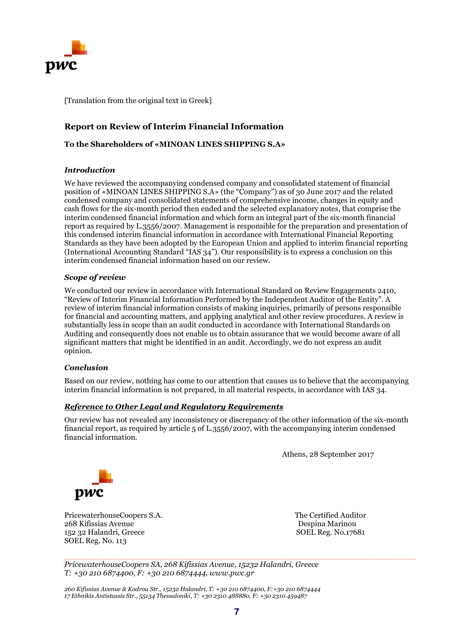

[Translation from the original text in Greek]

#### **Report on Review of Interim Financial Information**

**To the Shareholders of «MINOAN LINES SHIPPING S.A»** 

#### *Introduction*

We have reviewed the accompanying condensed company and consolidated statement of financial position of «MINOAN LINES SHIPPING S.A» (the "Company") as of 30 June 2017 and the related condensed company and consolidated statements of comprehensive income, changes in equity and cash flows for the six-month period then ended and the selected explanatory notes, that comprise the interim condensed financial information and which form an integral part of the six-month financial report as required by L.3556/2007. Management is responsible for the preparation and presentation of this condensed interim financial information in accordance with International Financial Reporting Standards as they have been adopted by the European Union and applied to interim financial reporting (International Accounting Standard "IAS 34"). Our responsibility is to express a conclusion on this interim condensed financial information based on our review.

#### *Scope of review*

We conducted our review in accordance with International Standard on Review Engagements 2410, "Review of Interim Financial Information Performed by the Independent Auditor of the Entity". A review of interim financial information consists of making inquiries, primarily of persons responsible for financial and accounting matters, and applying analytical and other review procedures. A review is substantially less in scope than an audit conducted in accordance with International Standards on Auditing and consequently does not enable us to obtain assurance that we would become aware of all significant matters that might be identified in an audit. Accordingly, we do not express an audit opinion.

#### *Conclusion*

Based on our review, nothing has come to our attention that causes us to believe that the accompanying interim financial information is not prepared, in all material respects, in accordance with IAS 34.

#### *Reference to Other Legal and Regulatory Requirements*

Our review has not revealed any inconsistency or discrepancy of the other information of the six-month financial report, as required by article 5 of L.3556/2007, with the accompanying interim condensed financial information.

Athens, 28 September 2017



PricewaterhouseCoopers S.A. The Certified Auditor 268 Kifissias Avenue 152 32 Halandri, Greece SOEL Reg. No.17681 SOEL Reg. No. 113

*PricewaterhouseCoopers SA, 268 Kifissias Avenue, 15232 Halandri, Greece T: +30 210 6874400, F: +30 210 6874444, www.pwc.gr* 

*260 Kifissias Avenue & Kodrou Str., 15232 Halandri, T: +30 210 6874400, F:+30 210 6874444 17 Ethnikis Antistassis Str., 55134 Thessaloniki, T: +30 2310 488880, F: +30 2310 459487*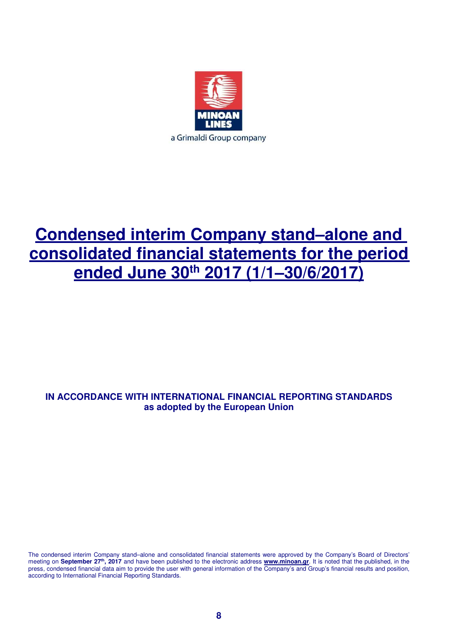

## **Condensed interim Company stand–alone and consolidated financial statements for the period ended June 30th 2017 (1/1–30/6/2017)**

### **IN ACCORDANCE WITH INTERNATIONAL FINANCIAL REPORTING STANDARDS as adopted by the European Union**

The condensed interim Company stand–alone and consolidated financial statements were approved by the Company's Board of Directors' meeting on **September 27th, 2017** and have been published to the electronic address **www.minoan.gr**. It is noted that the published, in the press, condensed financial data aim to provide the user with general information of the Company's and Group's financial results and position, according to International Financial Reporting Standards.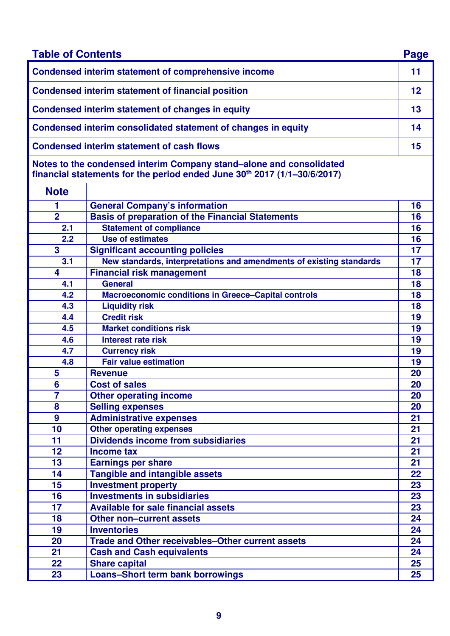| <b>Table of Contents</b> |                                                                                                                                                 | Page   |  |  |
|--------------------------|-------------------------------------------------------------------------------------------------------------------------------------------------|--------|--|--|
|                          | <b>Condensed interim statement of comprehensive income</b>                                                                                      | 11     |  |  |
|                          | <b>Condensed interim statement of financial position</b>                                                                                        | 12     |  |  |
|                          | Condensed interim statement of changes in equity                                                                                                | 13     |  |  |
|                          | Condensed interim consolidated statement of changes in equity                                                                                   |        |  |  |
|                          | <b>Condensed interim statement of cash flows</b>                                                                                                | 15     |  |  |
|                          | Notes to the condensed interim Company stand–alone and consolidated<br>financial statements for the period ended June 30th 2017 (1/1-30/6/2017) |        |  |  |
| <b>Note</b>              |                                                                                                                                                 |        |  |  |
| 1                        | <b>General Company's information</b>                                                                                                            | 16     |  |  |
| $\overline{2}$           | <b>Basis of preparation of the Financial Statements</b>                                                                                         | 16     |  |  |
| 2.1                      | <b>Statement of compliance</b>                                                                                                                  | 16     |  |  |
| 2.2                      | <b>Use of estimates</b>                                                                                                                         | 16     |  |  |
| 3                        | <b>Significant accounting policies</b>                                                                                                          | 17     |  |  |
| 3.1                      | New standards, interpretations and amendments of existing standards                                                                             | 17     |  |  |
| 4                        | <b>Financial risk management</b>                                                                                                                | 18     |  |  |
| 4.1                      | <b>General</b>                                                                                                                                  | 18     |  |  |
| 4.2                      | <b>Macroeconomic conditions in Greece-Capital controls</b>                                                                                      | 18     |  |  |
| 4.3                      | <b>Liquidity risk</b>                                                                                                                           | 18     |  |  |
| 4.4                      | <b>Credit risk</b>                                                                                                                              | 19     |  |  |
| 4.5                      | <b>Market conditions risk</b>                                                                                                                   | 19     |  |  |
| 4.6                      | <b>Interest rate risk</b>                                                                                                                       | 19     |  |  |
| 4.7                      | <b>Currency risk</b>                                                                                                                            | 19     |  |  |
| 4.8                      | <b>Fair value estimation</b>                                                                                                                    | 19     |  |  |
| 5                        | <b>Revenue</b>                                                                                                                                  | 20     |  |  |
| 6                        | <b>Cost of sales</b>                                                                                                                            | 20     |  |  |
| $\overline{7}$           | <b>Other operating income</b>                                                                                                                   | 20     |  |  |
| 8                        | <b>Selling expenses</b>                                                                                                                         | 20     |  |  |
| $\boldsymbol{9}$         | <b>Administrative expenses</b>                                                                                                                  | 21     |  |  |
| 10                       | <b>Other operating expenses</b>                                                                                                                 | 21     |  |  |
| 11                       | <b>Dividends income from subsidiaries</b>                                                                                                       | 21     |  |  |
| 12                       | <b>Income tax</b>                                                                                                                               | 21     |  |  |
| 13                       | <b>Earnings per share</b>                                                                                                                       | 21     |  |  |
| 14                       | Tangible and intangible assets                                                                                                                  | 22     |  |  |
| 15                       | <b>Investment property</b>                                                                                                                      | 23     |  |  |
| 16                       | <b>Investments in subsidiaries</b>                                                                                                              | 23     |  |  |
| 17                       | <b>Available for sale financial assets</b>                                                                                                      | 23     |  |  |
| 18                       | <b>Other non-current assets</b>                                                                                                                 | 24     |  |  |
| 19                       | <b>Inventories</b>                                                                                                                              | 24     |  |  |
| 20                       | Trade and Other receivables-Other current assets                                                                                                | 24     |  |  |
| 21                       | <b>Cash and Cash equivalents</b>                                                                                                                | 24     |  |  |
| 22                       | <b>Share capital</b>                                                                                                                            | 25     |  |  |
| 23                       | <b>Loans-Short term bank borrowings</b>                                                                                                         | $25\,$ |  |  |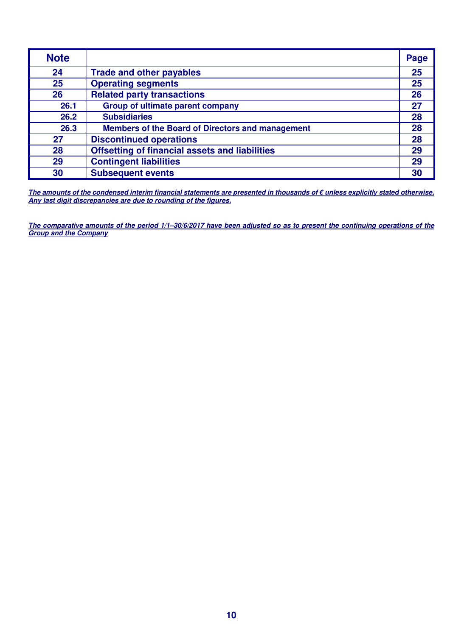| <b>Note</b> |                                                         | Page |
|-------------|---------------------------------------------------------|------|
| 24          | <b>Trade and other payables</b>                         | 25   |
| 25          | <b>Operating segments</b>                               | 25   |
| 26          | <b>Related party transactions</b>                       | 26   |
| 26.1        | <b>Group of ultimate parent company</b>                 | 27   |
| 26.2        | <b>Subsidiaries</b>                                     | 28   |
| 26.3        | <b>Members of the Board of Directors and management</b> | 28   |
| 27          | <b>Discontinued operations</b>                          | 28   |
| 28          | <b>Offsetting of financial assets and liabilities</b>   | 29   |
| 29          | <b>Contingent liabilities</b>                           | 29   |
| 30          | <b>Subsequent events</b>                                | 30   |

**The amounts of the condensed interim financial statements are presented in thousands of € unless explicitly stated otherwise. Any last digit discrepancies are due to rounding of the figures.** 

**The comparative amounts of the period 1/1–30/6/2017 have been adjusted so as to present the continuing operations of the Group and the Company**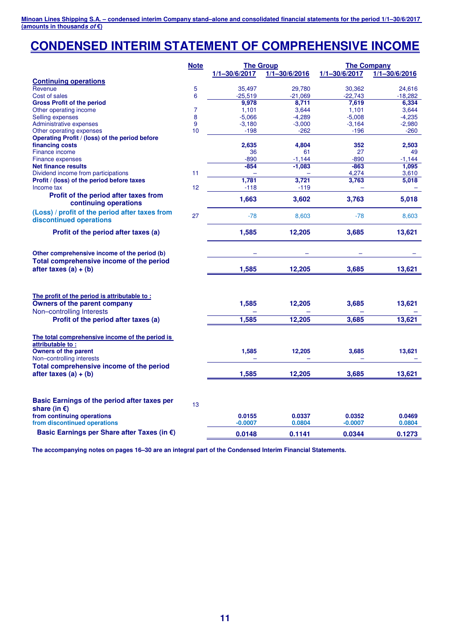## **CONDENSED INTERIM STATEMENT OF COMPREHENSIVE INCOME**

|                                                                              | <b>Note</b>    |                     | <b>The Group</b><br><b>The Company</b> |                     |                   |  |
|------------------------------------------------------------------------------|----------------|---------------------|----------------------------------------|---------------------|-------------------|--|
|                                                                              |                | $1/1 - 30/6/2017$   | $1/1 - 30/6/2016$                      | $1/1 - 30/6/2017$   | $1/1 - 30/6/2016$ |  |
| <b>Continuing operations</b>                                                 |                |                     |                                        |                     |                   |  |
| Revenue                                                                      | 5              | 35,497              | 29,780                                 | 30,362              | 24,616            |  |
| Cost of sales                                                                | 6              | $-25,519$           | $-21,069$                              | $-22,743$           | $-18,282$         |  |
| <b>Gross Profit of the period</b>                                            |                | 9,978               | 8,711                                  | 7,619               | 6,334             |  |
| Other operating income                                                       | $\overline{7}$ | 1,101               | 3,644                                  | 1,101               | 3,644             |  |
| Selling expenses                                                             | 8              | $-5,066$            | $-4,289$                               | $-5,008$            | $-4,235$          |  |
| Administrative expenses                                                      | 9              | $-3,180$            | $-3,000$                               | $-3,164$            | $-2,980$          |  |
| Other operating expenses                                                     | 10             | $-198$              | $-262$                                 | $-196$              | $-260$            |  |
| Operating Profit / (loss) of the period before                               |                |                     |                                        |                     |                   |  |
| financing costs                                                              |                | 2,635               | 4,804                                  | 352                 | 2,503             |  |
| Finance income                                                               |                | 36                  | 61                                     | 27                  | 49                |  |
| Finance expenses                                                             |                | $-890$              | $-1,144$                               | $-890$              | $-1,144$          |  |
| <b>Net finance results</b>                                                   |                | $-854$              | $-1,083$                               | $-863$              | 1,095             |  |
| Dividend income from participations                                          | 11             |                     |                                        | 4,274               | 3,610             |  |
| Profit / (loss) of the period before taxes                                   |                | 1,781               | 3,721                                  | 3,763               | 5,018             |  |
| Income tax                                                                   | 12             | $-118$              | $-119$                                 |                     |                   |  |
| Profit of the period after taxes from<br>continuing operations               |                | 1,663               | 3,602                                  | 3,763               | 5,018             |  |
| (Loss) / profit of the period after taxes from<br>discontinued operations    | 27             | $-78$               | 8,603                                  | $-78$               | 8,603             |  |
| Profit of the period after taxes (a)                                         |                | 1,585               | 12,205                                 | 3,685               | 13,621            |  |
| Other comprehensive income of the period (b)                                 |                |                     |                                        |                     |                   |  |
| Total comprehensive income of the period<br>after taxes $(a) + (b)$          |                | 1,585               | 12,205                                 | 3,685               | 13,621            |  |
| The profit of the period is attributable to:<br>Owners of the parent company |                | 1,585               | 12,205                                 | 3,685               | 13,621            |  |
| Non-controlling Interests                                                    |                |                     |                                        |                     |                   |  |
| Profit of the period after taxes (a)                                         |                | 1,585               | 12,205                                 | 3,685               | 13,621            |  |
| The total comprehensive income of the period is<br>attributable to:          |                |                     |                                        |                     |                   |  |
| <b>Owners of the parent</b><br>Non-controlling interests                     |                | 1,585               | 12,205                                 | 3,685               | 13,621            |  |
| Total comprehensive income of the period                                     |                |                     |                                        |                     |                   |  |
| after taxes $(a) + (b)$                                                      |                | 1,585               | 12,205                                 | 3,685               | 13,621            |  |
| Basic Earnings of the period after taxes per<br>share (in $\epsilon$ )       | 13             |                     |                                        |                     |                   |  |
| from continuing operations<br>from discontinued operations                   |                | 0.0155<br>$-0.0007$ | 0.0337<br>0.0804                       | 0.0352<br>$-0.0007$ | 0.0469<br>0.0804  |  |
| Basic Earnings per Share after Taxes (in €)                                  |                | 0.0148              | 0.1141                                 | 0.0344              | 0.1273            |  |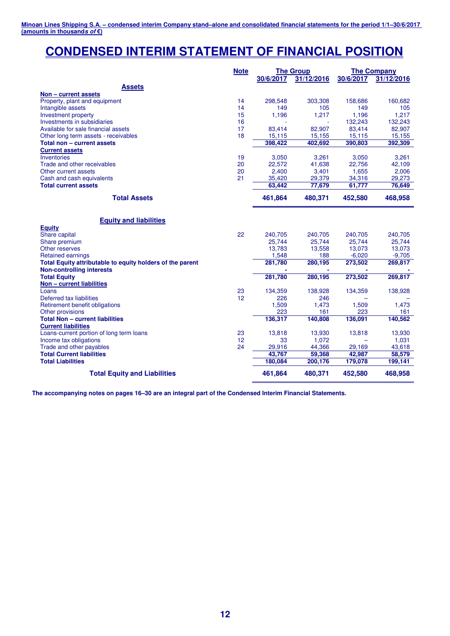### **CONDENSED INTERIM STATEMENT OF FINANCIAL POSITION**

|                                                           | <b>Note</b> |           | <b>The Group</b> | <b>The Company</b> |            |
|-----------------------------------------------------------|-------------|-----------|------------------|--------------------|------------|
|                                                           |             | 30/6/2017 | 31/12/2016       | 30/6/2017          | 31/12/2016 |
| <b>Assets</b>                                             |             |           |                  |                    |            |
| Non - current assets                                      |             |           |                  |                    |            |
| Property, plant and equipment                             | 14          | 298,548   | 303,308          | 158,686            | 160,682    |
| Intangible assets                                         | 14          | 149       | 105              | 149                | 105        |
| Investment property                                       | 15          | 1,196     | 1,217            | 1,196              | 1,217      |
| Investments in subsidiaries                               | 16          |           |                  | 132,243            | 132,243    |
| Available for sale financial assets                       | 17          | 83,414    | 82,907           | 83,414             | 82,907     |
| Other long term assets - receivables                      | 18          | 15,115    | 15,155           | 15,115             | 15,155     |
| Total non - current assets                                |             | 398.422   | 402.692          | 390,803            | 392,309    |
| <b>Current assets</b>                                     |             |           |                  |                    |            |
| Inventories                                               | 19          | 3,050     | 3,261            | 3,050              | 3,261      |
| Trade and other receivables                               | 20          | 22,572    | 41,638           | 22,756             | 42,109     |
| Other current assets                                      | 20          | 2,400     | 3,401            | 1,655              | 2,006      |
| Cash and cash equivalents                                 | 21          | 35,420    | 29,379           | 34,316             | 29,273     |
| <b>Total current assets</b>                               |             | 63,442    | 77,679           | 61,777             | 76,649     |
| <b>Total Assets</b>                                       |             | 461,864   | 480,371          | 452,580            | 468,958    |
|                                                           |             |           |                  |                    |            |
|                                                           |             |           |                  |                    |            |
| <b>Equity and liabilities</b>                             |             |           |                  |                    |            |
| <b>Equity</b>                                             | 22          | 240,705   | 240,705          | 240,705            | 240,705    |
| Share capital<br>Share premium                            |             | 25,744    | 25,744           | 25,744             | 25,744     |
| Other reserves                                            |             | 13,783    | 13,558           | 13,073             | 13,073     |
| <b>Retained earnings</b>                                  |             | 1,548     | 188              | $-6,020$           | $-9,705$   |
| Total Equity attributable to equity holders of the parent |             | 281,780   | 280,195          | 273,502            | 269,817    |
| <b>Non-controlling interests</b>                          |             |           |                  |                    |            |
| <b>Total Equity</b>                                       |             | 281,780   | 280,195          | 273,502            | 269,817    |
| Non - current liabilities                                 |             |           |                  |                    |            |
| Loans                                                     | 23          | 134,359   | 138,928          | 134,359            | 138,928    |
| Deferred tax liabilities                                  | 12          | 226       | 246              |                    |            |
| Retirement benefit obligations                            |             | 1,509     | 1,473            | 1,509              | 1,473      |
| Other provisions                                          |             | 223       | 161              | 223                | 161        |
| <b>Total Non - current liabilities</b>                    |             | 136,317   | 140,808          | 136,091            | 140,562    |
| <b>Current liabilities</b>                                |             |           |                  |                    |            |
| Loans-current portion of long term loans                  | 23          | 13,818    | 13,930           | 13,818             | 13,930     |
| Income tax obligations                                    | 12          | 33        | 1,072            |                    | 1,031      |
| Trade and other payables                                  | 24          | 29,916    | 44,366           | 29,169             | 43,618     |
| <b>Total Current liabilities</b>                          |             | 43,767    | 59,368           | 42,987             | 58,579     |
| <b>Total Liabilities</b>                                  |             | 180,084   | 200,176          | 179,078            | 199,141    |
|                                                           |             |           |                  |                    |            |
| <b>Total Equity and Liabilities</b>                       |             | 461,864   | 480,371          | 452,580            | 468.958    |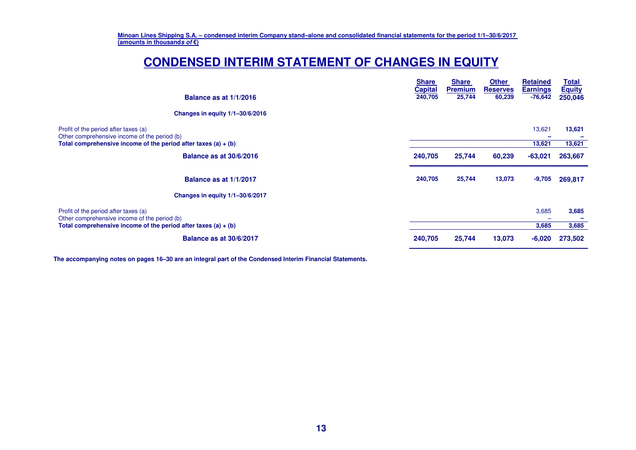### **CONDENSED INTERIM STATEMENT OF CHANGES IN EQUITY**

| Balance as at 1/1/2016                                                               | <b>Share</b><br><b>Capital</b><br>240,705 | <b>Share</b><br><b>Premium</b><br>25,744 | <b>Other</b><br><b>Reserves</b><br>60,239 | <b>Retained</b><br><b>Earnings</b><br>$-76,642$ | <u>Total</u><br><b>Equity</b><br>250,046 |
|--------------------------------------------------------------------------------------|-------------------------------------------|------------------------------------------|-------------------------------------------|-------------------------------------------------|------------------------------------------|
| Changes in equity 1/1-30/6/2016                                                      |                                           |                                          |                                           |                                                 |                                          |
| Profit of the period after taxes (a)<br>Other comprehensive income of the period (b) |                                           |                                          |                                           | 13,621                                          | 13,621                                   |
| Total comprehensive income of the period after taxes (a) $+$ (b)                     |                                           |                                          |                                           | 13,621                                          | 13,621                                   |
| <b>Balance as at 30/6/2016</b>                                                       | 240,705                                   | 25,744                                   | 60,239                                    | $-63,021$                                       | 263,667                                  |
| Balance as at 1/1/2017                                                               | 240,705                                   | 25,744                                   | 13,073                                    | $-9,705$                                        | 269,817                                  |
| Changes in equity 1/1-30/6/2017                                                      |                                           |                                          |                                           |                                                 |                                          |
| Profit of the period after taxes (a)<br>Other comprehensive income of the period (b) |                                           |                                          |                                           | 3,685                                           | 3,685                                    |
| Total comprehensive income of the period after taxes (a) $+$ (b)                     |                                           |                                          |                                           | 3,685                                           | 3,685                                    |
| <b>Balance as at 30/6/2017</b>                                                       | 240,705                                   | 25,744                                   | 13,073                                    | $-6,020$                                        | 273,502                                  |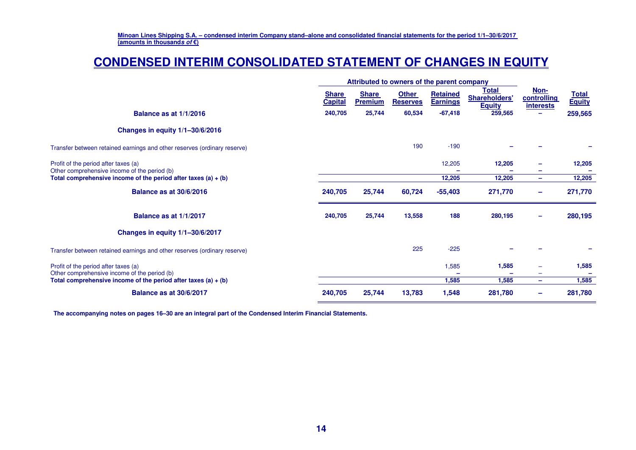### **CONDENSED INTERIM CONSOLIDATED STATEMENT OF CHANGES IN EQUITY**

|                                                                                      | Attributed to owners of the parent company |                                |                                 |                             |                                                |                                         |                               |  |
|--------------------------------------------------------------------------------------|--------------------------------------------|--------------------------------|---------------------------------|-----------------------------|------------------------------------------------|-----------------------------------------|-------------------------------|--|
|                                                                                      | <b>Share</b><br><b>Capital</b>             | <b>Share</b><br><b>Premium</b> | <b>Other</b><br><b>Reserves</b> | Retained<br><b>Earnings</b> | Total<br><b>Shareholders'</b><br><b>Equity</b> | Non-<br>controlling<br><u>interests</u> | <b>Total</b><br><b>Equity</b> |  |
| Balance as at 1/1/2016                                                               | 240,705                                    | 25,744                         | 60,534                          | $-67,418$                   | 259,565                                        |                                         | 259,565                       |  |
| Changes in equity 1/1-30/6/2016                                                      |                                            |                                |                                 |                             |                                                |                                         |                               |  |
| Transfer between retained earnings and other reserves (ordinary reserve)             |                                            |                                | 190                             | $-190$                      |                                                |                                         |                               |  |
| Profit of the period after taxes (a)<br>Other comprehensive income of the period (b) |                                            |                                |                                 | 12,205                      | 12,205                                         |                                         | 12,205                        |  |
| Total comprehensive income of the period after taxes $(a) + (b)$                     |                                            |                                |                                 | 12,205                      | 12,205                                         | $\equiv$                                | 12,205                        |  |
| <b>Balance as at 30/6/2016</b>                                                       | 240,705                                    | 25,744                         | 60,724                          | $-55,403$                   | 271,770                                        | -                                       | 271,770                       |  |
| Balance as at 1/1/2017                                                               | 240,705                                    | 25,744                         | 13,558                          | 188                         | 280,195                                        | $\overline{\phantom{a}}$                | 280,195                       |  |
| Changes in equity 1/1-30/6/2017                                                      |                                            |                                |                                 |                             |                                                |                                         |                               |  |
| Transfer between retained earnings and other reserves (ordinary reserve)             |                                            |                                | 225                             | $-225$                      |                                                |                                         |                               |  |
| Profit of the period after taxes (a)<br>Other comprehensive income of the period (b) |                                            |                                |                                 | 1,585                       | 1,585                                          | -                                       | 1,585                         |  |
| Total comprehensive income of the period after taxes $(a) + (b)$                     |                                            |                                |                                 | 1,585                       | 1.585                                          | $\overline{\phantom{0}}$                | 1,585                         |  |
| <b>Balance as at 30/6/2017</b>                                                       | 240,705                                    | 25,744                         | 13,783                          | 1,548                       | 281,780                                        | -                                       | 281,780                       |  |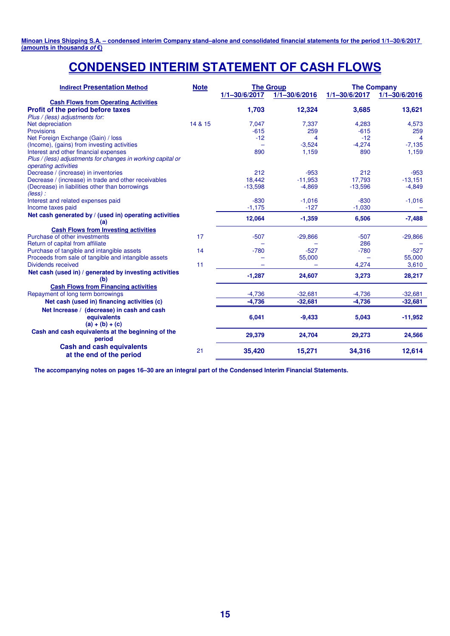### **CONDENSED INTERIM STATEMENT OF CASH FLOWS**

| <b>Indirect Presentation Method</b>                                                 | <b>Note</b> | <b>The Group</b><br>$1/1 - 30/6/2017$<br>$1/1 - 30/6/2016$ |           | $1/1 - 30/6/2017$ | <b>The Company</b><br>$1/1 - \frac{30}{6/2016}$ |
|-------------------------------------------------------------------------------------|-------------|------------------------------------------------------------|-----------|-------------------|-------------------------------------------------|
| <b>Cash Flows from Operating Activities</b>                                         |             |                                                            |           |                   |                                                 |
| Profit of the period before taxes                                                   |             | 1,703                                                      | 12,324    | 3,685             | 13,621                                          |
| Plus / (less) adjustments for:                                                      |             |                                                            |           |                   |                                                 |
| Net depreciation                                                                    | 14 & 15     | 7,047                                                      | 7,337     | 4,283             | 4,573                                           |
| <b>Provisions</b>                                                                   |             | $-615$                                                     | 259       | $-615$            | 259                                             |
| Net Foreign Exchange (Gain) / loss                                                  |             | $-12$                                                      | Δ         | $-12$             | $\boldsymbol{\Lambda}$                          |
| (Income), (gains) from investing activities                                         |             |                                                            | $-3,524$  | $-4,274$          | $-7,135$                                        |
| Interest and other financial expenses                                               |             | 890                                                        | 1,159     | 890               | 1,159                                           |
| Plus / (less) adjustments for changes in working capital or<br>operating activities |             |                                                            |           |                   |                                                 |
| Decrease / (increase) in inventories                                                |             | 212                                                        | $-953$    | 212               | $-953$                                          |
| Decrease / (increase) in trade and other receivables                                |             | 18,442                                                     | $-11,953$ | 17,793            | $-13,151$                                       |
| (Decrease) in liabilities other than borrowings<br>$(\text{less})$ :                |             | $-13,598$                                                  | $-4,869$  | $-13,596$         | $-4,849$                                        |
| Interest and related expenses paid                                                  |             | $-830$                                                     | $-1,016$  | $-830$            | $-1,016$                                        |
| Income taxes paid                                                                   |             | $-1,175$                                                   | $-127$    | $-1,030$          |                                                 |
| Net cash generated by / (used in) operating activities<br>(a)                       |             | 12,064                                                     | $-1,359$  | 6,506             | $-7,488$                                        |
| <b>Cash Flows from Investing activities</b>                                         |             |                                                            |           |                   |                                                 |
| Purchase of other investments                                                       | 17          | $-507$                                                     | $-29,866$ | $-507$            | $-29,866$                                       |
| Return of capital from affiliate                                                    |             |                                                            |           | 286               |                                                 |
| Purchase of tangible and intangible assets                                          | 14          | $-780$                                                     | $-527$    | $-780$            | $-527$                                          |
| Proceeds from sale of tangible and intangible assets                                |             |                                                            | 55,000    |                   | 55,000                                          |
| Dividends received                                                                  | 11          |                                                            |           | 4,274             | 3,610                                           |
| Net cash (used in) / generated by investing activities<br>(b)                       |             | $-1,287$                                                   | 24,607    | 3,273             | 28,217                                          |
| <b>Cash Flows from Financing activities</b>                                         |             |                                                            |           |                   |                                                 |
| Repayment of long term borrowings                                                   |             | $-4,736$                                                   | $-32,681$ | $-4,736$          | $-32,681$                                       |
| Net cash (used in) financing activities (c)                                         |             | $-4,736$                                                   | $-32,681$ | $-4,736$          | $-32,681$                                       |
| Net Increase / (decrease) in cash and cash                                          |             |                                                            |           |                   |                                                 |
| equivalents<br>$(a) + (b) + (c)$                                                    |             | 6,041                                                      | $-9,433$  | 5,043             | $-11,952$                                       |
| Cash and cash equivalents at the beginning of the<br>period                         |             | 29,379                                                     | 24,704    | 29,273            | 24,566                                          |
| <b>Cash and cash equivalents</b><br>at the end of the period                        | 21          | 35,420                                                     | 15,271    | 34,316            | 12,614                                          |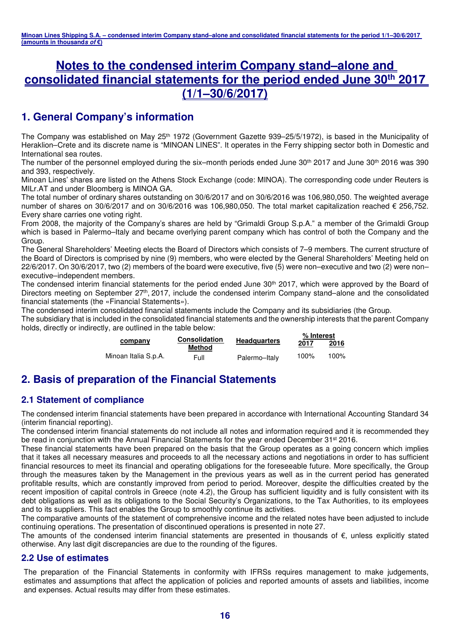### **Notes to the condensed interim Company stand–alone and consolidated financial statements for the period ended June 30th 2017 (1/1–30/6/2017)**

### **1. General Company's information**

The Company was established on May 25<sup>th</sup> 1972 (Government Gazette 939–25/5/1972), is based in the Municipality of Heraklion–Crete and its discrete name is "MINOAN LINES". It operates in the Ferry shipping sector both in Domestic and International sea routes.

The number of the personnel employed during the six–month periods ended June 30<sup>th</sup> 2017 and June 30<sup>th</sup> 2016 was 390 and 393, respectively.

Minoan Lines' shares are listed on the Athens Stock Exchange (code: MINOA). The corresponding code under Reuters is MILr.AT and under Bloomberg is MINOA GA.

The total number of ordinary shares outstanding on 30/6/2017 and on 30/6/2016 was 106,980,050. The weighted average number of shares on 30/6/2017 and on 30/6/2016 was 106,980,050. The total market capitalization reached € 256,752. Every share carries one voting right.

From 2008, the majority of the Company's shares are held by "Grimaldi Group S.p.A." a member of the Grimaldi Group which is based in Palermo-Italy and became overlying parent company which has control of both the Company and the Group.

The General Shareholders' Meeting elects the Board of Directors which consists of 7–9 members. The current structure of the Board of Directors is comprised by nine (9) members, who were elected by the General Shareholders' Meeting held on 22/6/2017. On 30/6/2017, two (2) members of the board were executive, five (5) were non–executive and two (2) were non– executive–independent members.

The condensed interim financial statements for the period ended June 30<sup>th</sup> 2017, which were approved by the Board of Directors meeting on September 27<sup>th</sup>, 2017, include the condensed interim Company stand–alone and the consolidated financial statements (the «Financial Statements»).

The condensed interim consolidated financial statements include the Company and its subsidiaries (the Group.

The subsidiary that is included in the consolidated financial statements and the ownership interests that the parent Company holds, directly or indirectly, are outlined in the table below: **% Interest**

|                      | <b>Consolidation</b> |                     | % Interest |      |  |  |
|----------------------|----------------------|---------------------|------------|------|--|--|
| company              | Method               | <b>Headquarters</b> | 2017       | 2016 |  |  |
| Minoan Italia S.p.A. | Full                 | Palermo-Italy       | 100%       | 100% |  |  |

### **2. Basis of preparation of the Financial Statements**

### **2.1 Statement of compliance**

The condensed interim financial statements have been prepared in accordance with International Accounting Standard 34 (interim financial reporting).

The condensed interim financial statements do not include all notes and information required and it is recommended they be read in conjunction with the Annual Financial Statements for the year ended December 31<sup>st</sup> 2016.

These financial statements have been prepared on the basis that the Group operates as a going concern which implies that it takes all necessary measures and proceeds to all the necessary actions and negotiations in order to has sufficient financial resources to meet its financial and operating obligations for the foreseeable future. More specifically, the Group through the measures taken by the Management in the previous years as well as in the current period has generated profitable results, which are constantly improved from period to period. Moreover, despite the difficulties created by the recent imposition of capital controls in Greece (note 4.2), the Group has sufficient liquidity and is fully consistent with its debt obligations as well as its obligations to the Social Security's Organizations, to the Tax Authorities, to its employees and to its suppliers. This fact enables the Group to smoothly continue its activities.

The comparative amounts of the statement of comprehensive income and the related notes have been adjusted to include continuing operations. The presentation of discontinued operations is presented in note 27.

The amounts of the condensed interim financial statements are presented in thousands of €, unless explicitly stated otherwise. Any last digit discrepancies are due to the rounding of the figures.

### **2.2 Use of estimates**

The preparation of the Financial Statements in conformity with IFRSs requires management to make judgements, estimates and assumptions that affect the application of policies and reported amounts of assets and liabilities, income and expenses. Actual results may differ from these estimates.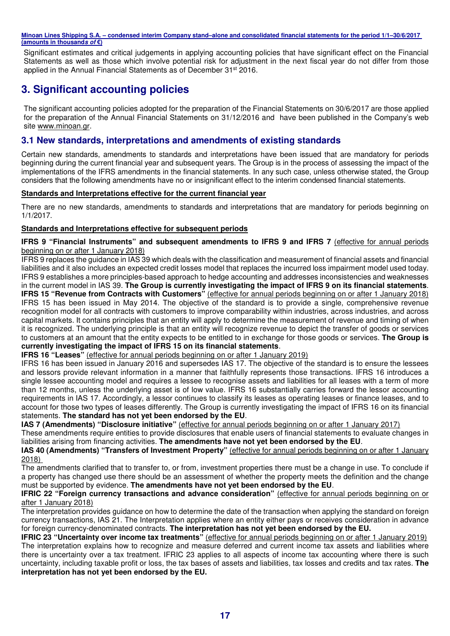Significant estimates and critical judgements in applying accounting policies that have significant effect on the Financial Statements as well as those which involve potential risk for adjustment in the next fiscal year do not differ from those applied in the Annual Financial Statements as of December 31st 2016.

### **3. Significant accounting policies**

The significant accounting policies adopted for the preparation of the Financial Statements on 30/6/2017 are those applied for the preparation of the Annual Financial Statements on 31/12/2016 and have been published in the Company's web site www.minoan.gr.

#### **3.1 New standards, interpretations and amendments of existing standards**

Certain new standards, amendments to standards and interpretations have been issued that are mandatory for periods beginning during the current financial year and subsequent years. The Group is in the process of assessing the impact of the implementations of the IFRS amendments in the financial statements. In any such case, unless otherwise stated, the Group considers that the following amendments have no or insignificant effect to the interim condensed financial statements.

#### **Standards and Interpretations effective for the current financial year**

There are no new standards, amendments to standards and interpretations that are mandatory for periods beginning on 1/1/2017.

#### **Standards and Interpretations effective for subsequent periods**

**IFRS 9 "Financial Instruments" and subsequent amendments to IFRS 9 and IFRS 7 (effective for annual periods** beginning on or after 1 January 2018)

IFRS 9 replaces the guidance in IAS 39 which deals with the classification and measurement of financial assets and financial liabilities and it also includes an expected credit losses model that replaces the incurred loss impairment model used today. IFRS 9 establishes a more principles-based approach to hedge accounting and addresses inconsistencies and weaknesses in the current model in IAS 39. **The Group is currently investigating the impact of IFRS 9 on its financial statements**. **IFRS 15 "Revenue from Contracts with Customers"** (effective for annual periods beginning on or after 1 January 2018) IFRS 15 has been issued in May 2014. The objective of the standard is to provide a single, comprehensive revenue recognition model for all contracts with customers to improve comparability within industries, across industries, and across capital markets. It contains principles that an entity will apply to determine the measurement of revenue and timing of when it is recognized. The underlying principle is that an entity will recognize revenue to depict the transfer of goods or services to customers at an amount that the entity expects to be entitled to in exchange for those goods or services. **The Group is currently investigating the impact of IFRS 15 on its financial statements**.

#### **IFRS 16 "Leases"** (effective for annual periods beginning on or after 1 January 2019)

IFRS 16 has been issued in January 2016 and supersedes IAS 17. The objective of the standard is to ensure the lessees and lessors provide relevant information in a manner that faithfully represents those transactions. IFRS 16 introduces a single lessee accounting model and requires a lessee to recognise assets and liabilities for all leases with a term of more than 12 months, unless the underlying asset is of low value. IFRS 16 substantially carries forward the lessor accounting requirements in IAS 17. Accordingly, a lessor continues to classify its leases as operating leases or finance leases, and to account for those two types of leases differently. The Group is currently investigating the impact of IFRS 16 on its financial statements. **The standard has not yet been endorsed by the EU**.

**IAS 7 (Amendments) "Disclosure initiative"** (effective for annual periods beginning on or after 1 January 2017)

These amendments require entities to provide disclosures that enable users of financial statements to evaluate changes in liabilities arising from financing activities. **The amendments have not yet been endorsed by the EU**.

**IAS 40 (Amendments) "Transfers of Investment Property"** (effective for annual periods beginning on or after 1 January 2018)

The amendments clarified that to transfer to, or from, investment properties there must be a change in use. To conclude if a property has changed use there should be an assessment of whether the property meets the definition and the change must be supported by evidence. **The amendments have not yet been endorsed by the EU**.

#### **IFRIC 22 "Foreign currency transactions and advance consideration"** (effective for annual periods beginning on or after 1 January 2018)

The interpretation provides guidance on how to determine the date of the transaction when applying the standard on foreign currency transactions, IAS 21. The Interpretation applies where an entity either pays or receives consideration in advance for foreign currency-denominated contracts. **The interpretation has not yet been endorsed by the EU.** 

**IFRIC 23 "Uncertainty over income tax treatments"** (effective for annual periods beginning on or after 1 January 2019) The interpretation explains how to recognize and measure deferred and current income tax assets and liabilities where there is uncertainty over a tax treatment. IFRIC 23 applies to all aspects of income tax accounting where there is such uncertainty, including taxable profit or loss, the tax bases of assets and liabilities, tax losses and credits and tax rates. **The interpretation has not yet been endorsed by the EU.**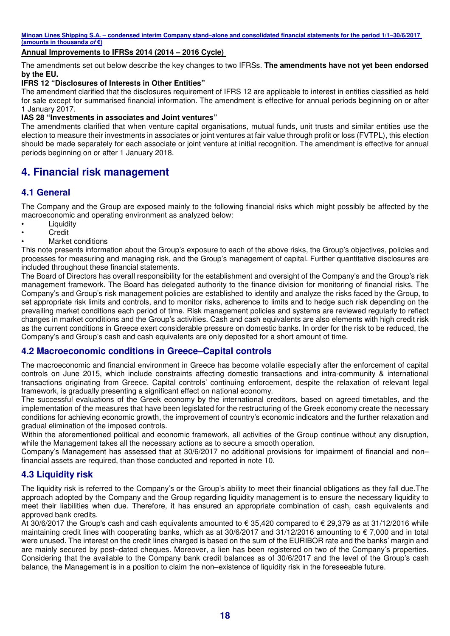#### **Annual Improvements to IFRSs 2014 (2014 – 2016 Cycle)**

The amendments set out below describe the key changes to two IFRSs. **The amendments have not yet been endorsed by the EU.** 

#### **IFRS 12 "Disclosures of Interests in Other Entities"**

The amendment clarified that the disclosures requirement of IFRS 12 are applicable to interest in entities classified as held for sale except for summarised financial information. The amendment is effective for annual periods beginning on or after 1 January 2017.

#### **IAS 28 "Investments in associates and Joint ventures"**

The amendments clarified that when venture capital organisations, mutual funds, unit trusts and similar entities use the election to measure their investments in associates or joint ventures at fair value through profit or loss (FVTPL), this election should be made separately for each associate or joint venture at initial recognition. The amendment is effective for annual periods beginning on or after 1 January 2018.

### **4. Financial risk management**

#### **4.1 General**

The Company and the Group are exposed mainly to the following financial risks which might possibly be affected by the macroeconomic and operating environment as analyzed below:

- Liquidity
- Credit
- Market conditions

This note presents information about the Group's exposure to each of the above risks, the Group's objectives, policies and processes for measuring and managing risk, and the Group's management of capital. Further quantitative disclosures are included throughout these financial statements.

The Board of Directors has overall responsibility for the establishment and oversight of the Company's and the Group's risk management framework. The Board has delegated authority to the finance division for monitoring of financial risks. The Company's and Group's risk management policies are established to identify and analyze the risks faced by the Group, to set appropriate risk limits and controls, and to monitor risks, adherence to limits and to hedge such risk depending on the prevailing market conditions each period of time. Risk management policies and systems are reviewed regularly to reflect changes in market conditions and the Group's activities. Cash and cash equivalents are also elements with high credit risk as the current conditions in Greece exert considerable pressure on domestic banks. In order for the risk to be reduced, the Company's and Group's cash and cash equivalents are only deposited for a short amount of time.

#### **4.2 Macroeconomic conditions in Greece–Capital controls**

The macroeconomic and financial environment in Greece has become volatile especially after the enforcement of capital controls on June 2015, which include constraints affecting domestic transactions and intra-community & international transactions originating from Greece. Capital controls' continuing enforcement, despite the relaxation of relevant legal framework, is gradually presenting a significant effect on national economy.

The successful evaluations of the Greek economy by the international creditors, based on agreed timetables, and the implementation of the measures that have been legislated for the restructuring of the Greek economy create the necessary conditions for achieving economic growth, the improvement of country's economic indicators and the further relaxation and gradual elimination of the imposed controls.

Within the aforementioned political and economic framework, all activities of the Group continue without any disruption, while the Management takes all the necessary actions as to secure a smooth operation.

Company's Management has assessed that at 30/6/2017 no additional provisions for impairment of financial and non– financial assets are required, than those conducted and reported in note 10.

#### **4.3 Liquidity risk**

The liquidity risk is referred to the Company's or the Group's ability to meet their financial obligations as they fall due.The approach adopted by the Company and the Group regarding liquidity management is to ensure the necessary liquidity to meet their liabilities when due. Therefore, it has ensured an appropriate combination of cash, cash equivalents and approved bank credits.

At 30/6/2017 the Group's cash and cash equivalents amounted to € 35,420 compared to € 29,379 as at 31/12/2016 while maintaining credit lines with cooperating banks, which as at 30/6/2017 and 31/12/2016 amounting to € 7,000 and in total were unused. The interest on the credit lines charged is based on the sum of the EURIBOR rate and the banks' margin and are mainly secured by post–dated cheques. Moreover, a lien has been registered on two of the Company's properties. Considering that the available to the Company bank credit balances as of 30/6/2017 and the level of the Group's cash balance, the Management is in a position to claim the non–existence of liquidity risk in the foreseeable future.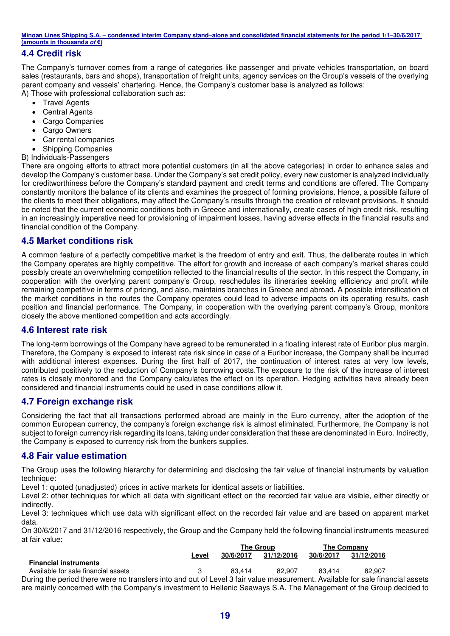#### **4.4 Credit risk**

The Company's turnover comes from a range of categories like passenger and private vehicles transportation, on board sales (restaurants, bars and shops), transportation of freight units, agency services on the Group's vessels of the overlying parent company and vessels' chartering. Hence, the Company's customer base is analyzed as follows: A) Those with professional collaboration such as:

- Travel Agents
- Central Agents
- Cargo Companies
- Cargo Owners
- Car rental companies
- Shipping Companies
- B) Individuals-Passengers

There are ongoing efforts to attract more potential customers (in all the above categories) in order to enhance sales and develop the Company's customer base. Under the Company's set credit policy, every new customer is analyzed individually for creditworthiness before the Company's standard payment and credit terms and conditions are offered. The Company constantly monitors the balance of its clients and examines the prospect of forming provisions. Hence, a possible failure of the clients to meet their obligations, may affect the Company's results through the creation of relevant provisions. It should be noted that the current economic conditions both in Greece and internationally, create cases of high credit risk, resulting in an increasingly imperative need for provisioning of impairment losses, having adverse effects in the financial results and financial condition of the Company.

#### **4.5 Market conditions risk**

A common feature of a perfectly competitive market is the freedom of entry and exit. Thus, the deliberate routes in which the Company operates are highly competitive. The effort for growth and increase of each company's market shares could possibly create an overwhelming competition reflected to the financial results of the sector. In this respect the Company, in cooperation with the overlying parent company's Group, reschedules its itineraries seeking efficiency and profit while remaining competitive in terms of pricing, and also, maintains branches in Greece and abroad. A possible intensification of the market conditions in the routes the Company operates could lead to adverse impacts on its operating results, cash position and financial performance. The Company, in cooperation with the overlying parent company's Group, monitors closely the above mentioned competition and acts accordingly.

#### **4.6 Interest rate risk**

The long-term borrowings of the Company have agreed to be remunerated in a floating interest rate of Euribor plus margin. Therefore, the Company is exposed to interest rate risk since in case of a Euribor increase, the Company shall be incurred with additional interest expenses. During the first half of 2017, the continuation of interest rates at very low levels, contributed positively to the reduction of Company's borrowing costs.The exposure to the risk of the increase of interest rates is closely monitored and the Company calculates the effect on its operation. Hedging activities have already been considered and financial instruments could be used in case conditions allow it.

#### **4.7 Foreign exchange risk**

Considering the fact that all transactions performed abroad are mainly in the Euro currency, after the adoption of the common European currency, the company's foreign exchange risk is almost eliminated. Furthermore, the Company is not subject to foreign currency risk regarding its loans, taking under consideration that these are denominated in Euro. Indirectly, the Company is exposed to currency risk from the bunkers supplies.

#### **4.8 Fair value estimation**

The Group uses the following hierarchy for determining and disclosing the fair value of financial instruments by valuation technique:

Level 1: quoted (unadjusted) prices in active markets for identical assets or liabilities.

Level 2: other techniques for which all data with significant effect on the recorded fair value are visible, either directly or indirectly.

Level 3: techniques which use data with significant effect on the recorded fair value and are based on apparent market data.

On 30/6/2017 and 31/12/2016 respectively, the Group and the Company held the following financial instruments measured at fair value: **The Group The Company**

|                                                                                                                               |       | THE GIUUD |            |           | THE OUTHORITY |  |
|-------------------------------------------------------------------------------------------------------------------------------|-------|-----------|------------|-----------|---------------|--|
|                                                                                                                               | Level | 30/6/2017 | 31/12/2016 | 30/6/2017 | 31/12/2016    |  |
| <b>Financial instruments</b>                                                                                                  |       |           |            |           |               |  |
| Available for sale financial assets                                                                                           |       | 83.414    | 82.907     | 83.414    | 82.907        |  |
| During the period there were no transfers into and out of Level 3 fair value measurement. Available for sale financial assets |       |           |            |           |               |  |
| are mainly concerned with the Company's investment to Hellenic Seaways S.A. The Management of the Group decided to            |       |           |            |           |               |  |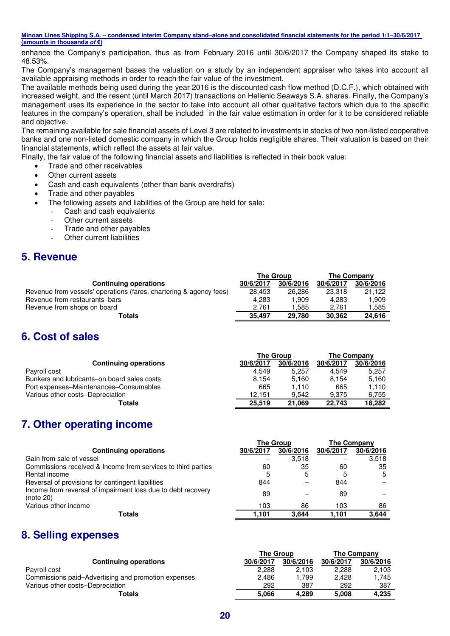enhance the Company's participation, thus as from February 2016 until 30/6/2017 the Company shaped its stake to 48.53%.

The Company's management bases the valuation on a study by an independent appraiser who takes into account all available appraising methods in order to reach the fair value of the investment.

The available methods being used during the year 2016 is the discounted cash flow method (D.C.F.), which obtained with increased weight, and the resent (until March 2017) transactions on Hellenic Seaways S.A. shares. Finally, the Company's management uses its experience in the sector to take into account all other qualitative factors which due to the specific features in the company's operation, shall be included in the fair value estimation in order for it to be considered reliable and objective.

The remaining available for sale financial assets of Level 3 are related to investments in stocks of two non-listed cooperative banks and one non-listed domestic company in which the Group holds negligible shares. Their valuation is based on their financial statements, which reflect the assets at fair value.

Finally, the fair value of the following financial assets and liabilities is reflected in their book value:

- Trade and other receivables
- Other current assets
- Cash and cash equivalents (other than bank overdrafts)
- Trade and other payables
- The following assets and liabilities of the Group are held for sale:
	- Cash and cash equivalents
	- Other current assets
	- Trade and other payables
	- Other current liabilities

### **5. Revenue**

| <b>The Group</b> |           |           | The Company |
|------------------|-----------|-----------|-------------|
| 30/6/2017        | 30/6/2016 | 30/6/2017 | 30/6/2016   |
| 28.453           | 26,286    | 23.318    | 21.122      |
| 4.283            | 1.909     | 4.283     | 1.909       |
| 2.761            | 1.585     | 2.761     | 1.585       |
| 35.497           | 29.780    | 30.362    | 24.616      |
|                  |           |           |             |

### **6. Cost of sales**

|                                             |           | The Group | <b>The Company</b> |           |  |
|---------------------------------------------|-----------|-----------|--------------------|-----------|--|
| <b>Continuing operations</b>                | 30/6/2017 | 30/6/2016 | 30/6/2017          | 30/6/2016 |  |
| Payroll cost                                | 4.549     | 5.257     | 4.549              | 5.257     |  |
| Bunkers and lubricants-on board sales costs | 8.154     | 5.160     | 8.154              | 5.160     |  |
| Port expenses–Maintenances–Consumables      | 665       | 1.110     | 665                | 1.110     |  |
| Various other costs-Depreciation            | 12.151    | 9.542     | 9.375              | 6.755     |  |
| Totals                                      | 25.519    | 21.069    | 22.743             | 18.282    |  |

### **7. Other operating income**

|                                                                           |           | <b>The Group</b> | <b>The Company</b> |           |  |
|---------------------------------------------------------------------------|-----------|------------------|--------------------|-----------|--|
| <b>Continuing operations</b>                                              | 30/6/2017 | 30/6/2016        | 30/6/2017          | 30/6/2016 |  |
| Gain from sale of vessel                                                  |           | 3.518            |                    | 3,518     |  |
| Commissions received & Income from services to third parties              | 60        | 35               | 60                 | 35        |  |
| Rental income                                                             | 5         | 5                | 5                  | 5         |  |
| Reversal of provisions for contingent liabilities                         | 844       |                  | 844                |           |  |
| Income from reversal of impairment loss due to debt recovery<br>(note 20) | 89        |                  | 89                 |           |  |
| Various other income                                                      | 103       | 86               | 103                | 86        |  |
| <b>Totals</b>                                                             | 1,101     | 3.644            | 1.101              | 3.644     |  |
|                                                                           |           |                  |                    |           |  |

### **8. Selling expenses**

|                                                     | <b>The Group</b> |           | <b>The Company</b> |           |  |
|-----------------------------------------------------|------------------|-----------|--------------------|-----------|--|
| <b>Continuing operations</b>                        | 30/6/2017        | 30/6/2016 | 30/6/2017          | 30/6/2016 |  |
| Payroll cost                                        | 2,288            | 2.103     | 2.288              | 2,103     |  |
| Commissions paid–Advertising and promotion expenses | 2.486            | 1.799     | 2.428              | 1.745     |  |
| Various other costs-Depreciation                    | 292              | 387       | 292                | 387       |  |
| Totals                                              | 5.066            | 4.289     | 5.008              | 4.235     |  |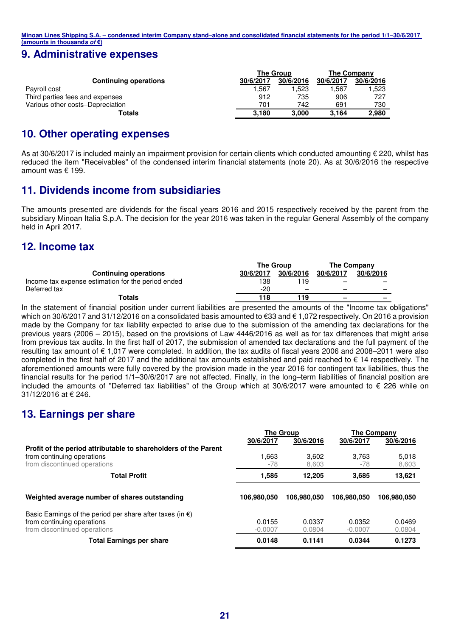### **9. Administrative expenses**

|                                  | <b>The Group</b> |           | <b>The Company</b> |           |  |
|----------------------------------|------------------|-----------|--------------------|-----------|--|
| <b>Continuing operations</b>     | 30/6/2017        | 30/6/2016 | 30/6/2017          | 30/6/2016 |  |
| Payroll cost                     | .567             | 1,523     | 1.567              | 1,523     |  |
| Third parties fees and expenses  | 912              | 735       | 906                | 727       |  |
| Various other costs-Depreciation | 701              | 742       | 691                | 730       |  |
| Totals                           | 3.180            | 3.000     | 3.164              | 2,980     |  |

### **10. Other operating expenses**

As at 30/6/2017 is included mainly an impairment provision for certain clients which conducted amounting  $\epsilon$  220, whilst has reduced the item "Receivables" of the condensed interim financial statements (note 20). As at 30/6/2016 the respective amount was € 199.

### **11. Dividends income from subsidiaries**

The amounts presented are dividends for the fiscal years 2016 and 2015 respectively received by the parent from the subsidiary Minoan Italia S.p.A. The decision for the year 2016 was taken in the regular General Assembly of the company held in April 2017.

### **12. Income tax**

|                                                    | <b>The Group</b> |           | <b>The Company</b> |           |
|----------------------------------------------------|------------------|-----------|--------------------|-----------|
| <b>Continuing operations</b>                       | 30/6/2017        | 30/6/2016 | 30/6/2017          | 30/6/2016 |
| Income tax expense estimation for the period ended | 138              | 119       | _                  |           |
| Deferred tax                                       | $-20$            | -         | _                  |           |
| Totals                                             | 118              | 119       | -                  | -         |

In the statement of financial position under current liabilities are presented the amounts of the "Income tax obligations" which on 30/6/2017 and 31/12/2016 on a consolidated basis amounted to €33 and € 1,072 respectively. On 2016 a provision made by the Company for tax liability expected to arise due to the submission of the amending tax declarations for the previous years (2006 – 2015), based on the provisions of Law 4446/2016 as well as for tax differences that might arise from previous tax audits. In the first half of 2017, the submission of amended tax declarations and the full payment of the resulting tax amount of € 1,017 were completed. In addition, the tax audits of fiscal years 2006 and 2008–2011 were also completed in the first half of 2017 and the additional tax amounts established and paid reached to € 14 respectively. The aforementioned amounts were fully covered by the provision made in the year 2016 for contingent tax liabilities, thus the financial results for the period 1/1–30/6/2017 are not affected. Finally, in the long–term liabilities of financial position are included the amounts of "Deferred tax liabilities" of the Group which at 30/6/2017 were amounted to € 226 while on 31/12/2016 at € 246.

### **13. Earnings per share**

|                                                                     |             | The Group   | <b>The Company</b> |             |  |
|---------------------------------------------------------------------|-------------|-------------|--------------------|-------------|--|
|                                                                     | 30/6/2017   | 30/6/2016   | 30/6/2017          | 30/6/2016   |  |
| Profit of the period attributable to shareholders of the Parent     |             |             |                    |             |  |
| from continuing operations                                          | 1.663       | 3.602       | 3.763              | 5,018       |  |
| from discontinued operations                                        | -78         | 8,603       | -78                | 8,603       |  |
| <b>Total Profit</b>                                                 | 1.585       | 12.205      | 3.685              | 13.621      |  |
| Weighted average number of shares outstanding                       | 106.980.050 | 106.980.050 | 106.980.050        | 106,980,050 |  |
| Basic Earnings of the period per share after taxes (in $\epsilon$ ) |             |             |                    |             |  |
| from continuing operations                                          | 0.0155      | 0.0337      | 0.0352             | 0.0469      |  |
| from discontinued operations                                        | $-0.0007$   | 0.0804      | $-0.0007$          | 0.0804      |  |
| <b>Total Earnings per share</b>                                     | 0.0148      | 0.1141      | 0.0344             | 0.1273      |  |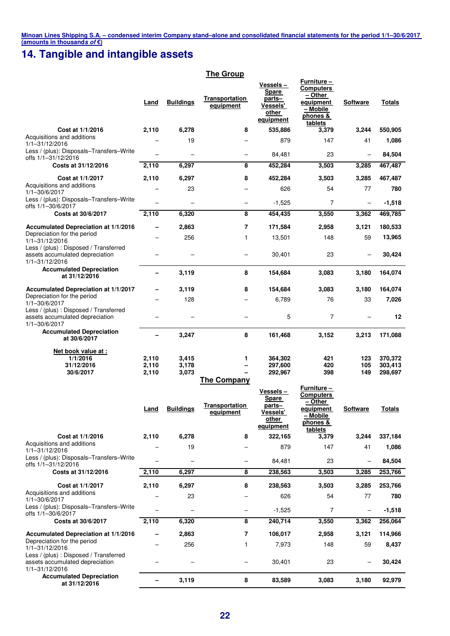### **14. Tangible and intangible assets**

|                                                                                             |                          |                          | <b>The Group</b>                   |                                                                       |                                                                                                            |                          |                    |
|---------------------------------------------------------------------------------------------|--------------------------|--------------------------|------------------------------------|-----------------------------------------------------------------------|------------------------------------------------------------------------------------------------------------|--------------------------|--------------------|
|                                                                                             | Land                     | <b>Buildings</b>         | Transportation<br>equipment        | Vessels –<br>Spare<br>parts-<br>Vessels'<br>other<br>equipment        | <b>Furniture –</b><br><b>Computers</b><br>– Other<br>equipment<br>- Mobile<br>phones &<br>tablets          | <b>Software</b>          | <b>Totals</b>      |
| Cost at 1/1/2016                                                                            | 2,110                    | 6,278                    | 8                                  | 535,886                                                               | 3,379                                                                                                      | 3,244                    | 550,905            |
| Acquisitions and additions<br>1/1-31/12/2016                                                |                          | 19                       |                                    | 879                                                                   | 147                                                                                                        | 41                       | 1,086              |
| Less / (plus): Disposals-Transfers-Write<br>offs 1/1-31/12/2016                             |                          | ÷                        | $\overline{\phantom{0}}$           | 84,481                                                                | 23                                                                                                         |                          | 84,504             |
| Costs at 31/12/2016                                                                         | 2,110                    | 6,297                    | 8                                  | 452,284                                                               | 3,503                                                                                                      | 3,285                    | 467,487            |
| Cost at 1/1/2017<br>Acquisitions and additions                                              | 2,110                    | 6,297                    | 8                                  | 452,284                                                               | 3,503                                                                                                      | 3,285                    | 467,487            |
| 1/1-30/6/2017<br>Less / (plus): Disposals-Transfers-Write                                   |                          | 23                       | $\overline{\phantom{0}}$           | 626                                                                   | 54                                                                                                         | 77                       | 780                |
| offs 1/1-30/6/2017                                                                          |                          | $\overline{\phantom{m}}$ | -                                  | $-1,525$                                                              | $\overline{7}$                                                                                             | $\overline{\phantom{m}}$ | $-1,518$           |
| Costs at 30/6/2017                                                                          | 2,110                    | 6,320                    | 8                                  | 454,435                                                               | 3,550                                                                                                      | 3,362                    | 469,785            |
| <b>Accumulated Depreciation at 1/1/2016</b>                                                 |                          | 2,863                    | 7                                  | 171,584                                                               | 2,958                                                                                                      | 3,121                    | 180,533            |
| Depreciation for the period<br>1/1-31/12/2016                                               |                          | 256                      | 1                                  | 13,501                                                                | 148                                                                                                        | 59                       | 13,965             |
| Less / (plus) : Disposed / Transferred<br>assets accumulated depreciation<br>1/1-31/12/2016 |                          |                          |                                    | 30,401                                                                | 23                                                                                                         |                          | 30,424             |
| <b>Accumulated Depreciation</b><br>at 31/12/2016                                            |                          | 3,119                    | 8                                  | 154,684                                                               | 3,083                                                                                                      | 3,180                    | 164,074            |
| Accumulated Depreciation at 1/1/2017                                                        |                          | 3,119                    | 8                                  | 154,684                                                               | 3,083                                                                                                      | 3,180                    | 164,074            |
| Depreciation for the period<br>1/1-30/6/2017                                                |                          | 128                      |                                    | 6,789                                                                 | 76                                                                                                         | 33                       | 7,026              |
| Less / (plus) : Disposed / Transferred<br>assets accumulated depreciation<br>1/1-30/6/2017  |                          |                          |                                    | 5                                                                     | $\overline{7}$                                                                                             |                          | 12                 |
| <b>Accumulated Depreciation</b><br>at 30/6/2017                                             | $\overline{\phantom{0}}$ | 3,247                    | 8                                  | 161,468                                                               | 3,152                                                                                                      | 3,213                    | 171,088            |
| Net book value at :<br>1/1/2016                                                             | 2,110                    | 3,415                    | 1                                  | 364,302                                                               | 421                                                                                                        | 123                      | 370,372            |
| 31/12/2016<br>30/6/2017                                                                     | 2,110<br>2,110           | 3,178<br>3,073           |                                    | 297,600<br>292,967                                                    | 420<br>398                                                                                                 | 105<br>149               | 303,413<br>298,697 |
|                                                                                             |                          |                          | The Company                        |                                                                       |                                                                                                            |                          |                    |
|                                                                                             |                          | Land Buildings           | <b>Transportation</b><br>equipment | Vessels –<br><b>Spare</b><br>parts-<br>Vessels'<br>other<br>equipment | <b>Furniture –</b><br><b>Computers</b><br>$-$ Other<br><u>equipment</u><br>- Mobile<br>phones &<br>tablets | <b>Software</b>          | <b>Totals</b>      |
| Cost at 1/1/2016                                                                            | 2,110                    | 6,278                    | 8                                  | 322,165                                                               | 3,379                                                                                                      | 3,244                    | 337,184            |
| Acquisitions and additions<br>1/1-31/12/2016<br>Less / (plus): Disposals-Transfers-Write    |                          | 19                       |                                    | 879                                                                   | 147                                                                                                        | 41                       | 1,086              |
| offs 1/1-31/12/2016                                                                         |                          | $\qquad \qquad -$        | -                                  | 84,481                                                                | 23                                                                                                         | $\overline{\phantom{m}}$ | 84,504             |
| Costs at 31/12/2016                                                                         | 2,110                    | 6,297                    | 8                                  | 238,563                                                               | 3,503                                                                                                      | 3,285                    | 253,766            |
| Cost at 1/1/2017<br>Acquisitions and additions                                              | 2,110                    | 6,297                    | 8                                  | 238,563                                                               | 3,503                                                                                                      | 3,285                    | 253,766            |
| 1/1-30/6/2017                                                                               |                          | 23                       |                                    | 626                                                                   | 54                                                                                                         | 77                       | 780                |
| Less / (plus): Disposals-Transfers-Write<br>offs 1/1-30/6/2017                              |                          | -                        | -                                  | $-1,525$                                                              | 7                                                                                                          | $\overline{\phantom{0}}$ | $-1,518$           |
| Costs at 30/6/2017                                                                          | 2,110                    | 6,320                    | 8                                  | 240,714                                                               | 3,550                                                                                                      | 3,362                    | 256,064            |
| Accumulated Depreciation at 1/1/2016<br>Depreciation for the period                         |                          | 2,863<br>256             | 7<br>1                             | 106,017<br>7,973                                                      | 2,958<br>148                                                                                               | 3,121<br>59              | 114,966<br>8,437   |
| 1/1-31/12/2016<br>Less / (plus) : Disposed / Transferred<br>assets accumulated depreciation |                          |                          |                                    | 30,401                                                                | 23                                                                                                         |                          | 30,424             |
| 1/1-31/12/2016<br><b>Accumulated Depreciation</b><br>at 31/12/2016                          |                          | 3,119                    | 8                                  | 83,589                                                                | 3,083                                                                                                      | 3,180                    | 92,979             |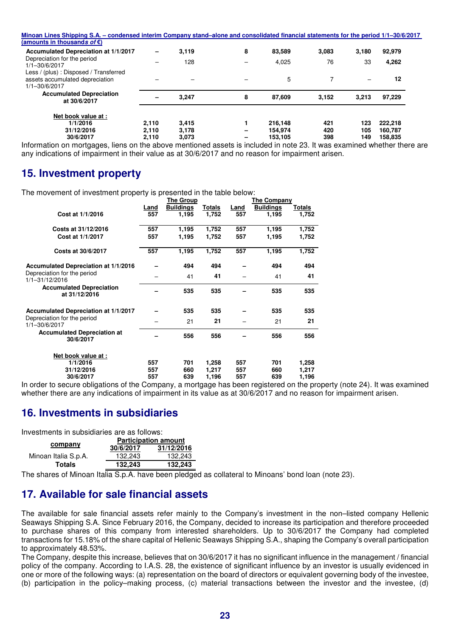| Minoan Lines Shipping S.A. – condensed interim Company stand–alone and consolidated financial statements for the period 1/1–30/6/2017 |       |       |   |         |       |       |         |  |
|---------------------------------------------------------------------------------------------------------------------------------------|-------|-------|---|---------|-------|-------|---------|--|
| (amounts in thousands of $\epsilon$ )                                                                                                 |       |       |   |         |       |       |         |  |
| Accumulated Depreciation at 1/1/2017                                                                                                  | -     | 3,119 | 8 | 83.589  | 3.083 | 3.180 | 92,979  |  |
| Depreciation for the period<br>$1/1 - 30/6/2017$                                                                                      |       | 128   |   | 4.025   | 76    | 33    | 4,262   |  |
| Less / (plus) : Disposed / Transferred<br>assets accumulated depreciation<br>1/1-30/6/2017                                            |       |       |   | 5       |       |       | 12      |  |
| <b>Accumulated Depreciation</b><br>at 30/6/2017                                                                                       |       | 3.247 | 8 | 87.609  | 3,152 | 3.213 | 97,229  |  |
| Net book value at:<br>1/1/2016                                                                                                        | 2.110 | 3.415 |   | 216.148 | 421   | 123   | 222.218 |  |
| 31/12/2016                                                                                                                            | 2.110 | 3,178 |   | 154.974 | 420   | 105   | 160,787 |  |
| 30/6/2017                                                                                                                             | 2.110 | 3,073 | - | 153.105 | 398   | 149   | 158,835 |  |

Information on mortgages, liens on the above mentioned assets is included in note 23. It was examined whether there are any indications of impairment in their value as at 30/6/2017 and no reason for impairment arisen.

### **15. Investment property**

The movement of investment property is presented in the table below:

|                                                  | The Group |                  |               | The Company |                  |        |  |
|--------------------------------------------------|-----------|------------------|---------------|-------------|------------------|--------|--|
|                                                  | Land      | <b>Buildings</b> | <b>Totals</b> | Land        | <b>Buildings</b> | Totals |  |
| Cost at 1/1/2016                                 | 557       | 1,195            | 1,752         | 557         | 1,195            | 1,752  |  |
| Costs at 31/12/2016                              | 557       | 1,195            | 1,752         | 557         | 1,195            | 1,752  |  |
| Cost at 1/1/2017                                 | 557       | 1,195            | 1,752         | 557         | 1,195            | 1,752  |  |
| Costs at 30/6/2017                               | 557       | 1,195            | 1,752         | 557         | 1,195            | 1,752  |  |
| <b>Accumulated Depreciation at 1/1/2016</b>      |           | 494              | 494           |             | 494              | 494    |  |
| Depreciation for the period<br>1/1-31/12/2016    |           | 41               | 41            |             | 41               | 41     |  |
| <b>Accumulated Depreciation</b><br>at 31/12/2016 |           | 535              | 535           |             | 535              | 535    |  |
| <b>Accumulated Depreciation at 1/1/2017</b>      |           | 535              | 535           |             | 535              | 535    |  |
| Depreciation for the period<br>1/1-30/6/2017     |           | 21               | 21            |             | 21               | 21     |  |
| <b>Accumulated Depreciation at</b><br>30/6/2017  |           | 556              | 556           |             | 556              | 556    |  |
| Net book value at :                              |           |                  |               |             |                  |        |  |
| 1/1/2016                                         | 557       | 701              | 1,258         | 557         | 701              | 1,258  |  |
| 31/12/2016                                       | 557       | 660              | 1,217         | 557         | 660              | 1,217  |  |
| 30/6/2017                                        | 557       | 639              | 1,196         | 557         | 639              | 1,196  |  |
|                                                  |           |                  |               |             |                  |        |  |

In order to secure obligations of the Company, a mortgage has been registered on the property (note 24). It was examined whether there are any indications of impairment in its value as at 30/6/2017 and no reason for impairment arisen.

### **16. Investments in subsidiaries**

Investments in subsidiaries are as follows:

|                      |           | <b>Participation amount</b> |
|----------------------|-----------|-----------------------------|
| company              | 30/6/2017 | 31/12/2016                  |
| Minoan Italia S.p.A. | 132.243   | 132.243                     |
| <b>Totals</b>        | 132.243   | 132,243                     |

The shares of Minoan Italia S.p.A. have been pledged as collateral to Minoans' bond loan (note 23).

### **17. Available for sale financial assets**

The available for sale financial assets refer mainly to the Company's investment in the non–listed company Hellenic Seaways Shipping S.A. Since February 2016, the Company, decided to increase its participation and therefore proceeded to purchase shares of this company from interested shareholders. Up to 30/6/2017 the Company had completed transactions for 15.18% of the share capital of Hellenic Seaways Shipping S.A., shaping the Company's overall participation to approximately 48.53%.

The Company, despite this increase, believes that on 30/6/2017 it has no significant influence in the management / financial policy of the company. According to I.A.S. 28, the existence of significant influence by an investor is usually evidenced in one or more of the following ways: (a) representation on the board of directors or equivalent governing body of the investee, (b) participation in the policy–making process, (c) material transactions between the investor and the investee, (d)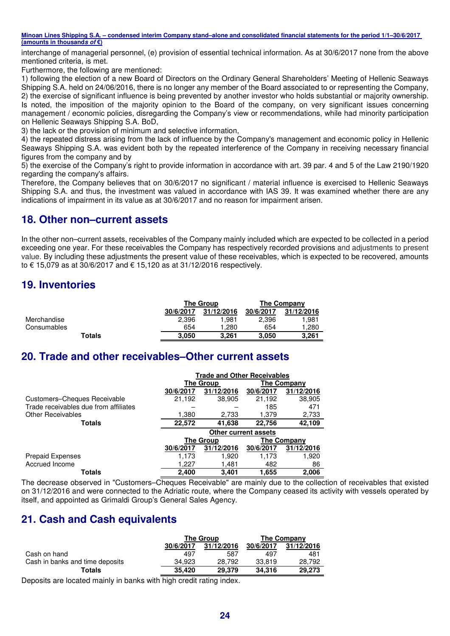interchange of managerial personnel, (e) provision of essential technical information. As at 30/6/2017 none from the above mentioned criteria, is met.

Furthermore, the following are mentioned:

1) following the election of a new Board of Directors on the Ordinary General Shareholders' Meeting of Hellenic Seaways Shipping S.A. held on 24/06/2016, there is no longer any member of the Board associated to or representing the Company, 2) the exercise of significant influence is being prevented by another investor who holds substantial or majority ownership. Is noted, the imposition of the majority opinion to the Board of the company, on very significant issues concerning management / economic policies, disregarding the Company's view or recommendations, while had minority participation on Hellenic Seaways Shipping S.A. BoD,

3) the lack or the provision of minimum and selective information,

4) the repeated distress arising from the lack of influence by the Company's management and economic policy in Hellenic Seaways Shipping S.A. was evident both by the repeated interference of the Company in receiving necessary financial figures from the company and by

5) the exercise of the Company's right to provide information in accordance with art. 39 par. 4 and 5 of the Law 2190/1920 regarding the company's affairs.

Therefore, the Company believes that on 30/6/2017 no significant / material influence is exercised to Hellenic Seaways Shipping S.A. and thus, the investment was valued in accordance with IAS 39. It was examined whether there are any indications of impairment in its value as at 30/6/2017 and no reason for impairment arisen.

### **18. Other non–current assets**

In the other non–current assets, receivables of the Company mainly included which are expected to be collected in a period exceeding one year. For these receivables the Company has respectively recorded provisions and adjustments to present value. By including these adjustments the present value of these receivables, which is expected to be recovered, amounts to € 15,079 as at 30/6/2017 and € 15,120 as at 31/12/2016 respectively.

### **19. Inventories**

|             |           | <b>The Group</b> | The Company |            |  |
|-------------|-----------|------------------|-------------|------------|--|
|             | 30/6/2017 | 31/12/2016       | 30/6/2017   | 31/12/2016 |  |
| Merchandise | 2.396     | 1.981            | 2.396       | 1.981      |  |
| Consumables | 654       | 280. ا           | 654         | 280. ا     |  |
| Totals      | 3.050     | 3.261            | 3.050       | 3.261      |  |

### **20. Trade and other receivables–Other current assets**

|                                       | <b>Trade and Other Receivables</b> |                  |                             |                    |  |  |
|---------------------------------------|------------------------------------|------------------|-----------------------------|--------------------|--|--|
|                                       |                                    | The Group        |                             | The Company        |  |  |
|                                       | 30/6/2017                          | 31/12/2016       | 30/6/2017                   | 31/12/2016         |  |  |
| Customers-Cheques Receivable          | 21,192                             | 38,905           | 21,192                      | 38,905             |  |  |
| Trade receivables due from affiliates |                                    |                  | 185                         | 471                |  |  |
| <b>Other Receivables</b>              | 1,380                              | 2,733            | 1,379                       | 2,733              |  |  |
| Totals                                | 22,572                             | 41,638           | 22,756                      | 42,109             |  |  |
|                                       |                                    |                  | <b>Other current assets</b> |                    |  |  |
|                                       |                                    | <b>The Group</b> |                             | <b>The Company</b> |  |  |
|                                       | 30/6/2017                          | 31/12/2016       | 30/6/2017                   | 31/12/2016         |  |  |
| <b>Prepaid Expenses</b>               | 1,173                              | 1,920            | 1,173                       | 1,920              |  |  |
| Accrued Income                        | 1.227                              | 1,481            | 482                         | 86                 |  |  |
| Totals                                | 2.400                              | 3.401            | 1.655                       | 2.006              |  |  |

The decrease observed in "Customers–Cheques Receivable" are mainly due to the collection of receivables that existed on 31/12/2016 and were connected to the Adriatic route, where the Company ceased its activity with vessels operated by itself, and appointed as Grimaldi Group's General Sales Agency.

### **21. Cash and Cash equivalents**

|                                 |           | The Group               | The Company |            |  |
|---------------------------------|-----------|-------------------------|-------------|------------|--|
|                                 | 30/6/2017 | 31/12/2016<br>30/6/2017 |             | 31/12/2016 |  |
| Cash on hand                    | 497       | 587                     | 497         | 481        |  |
| Cash in banks and time deposits | 34.923    | 28.792                  | 33,819      | 28,792     |  |
| <b>Totals</b>                   | 35.420    | 29,379                  | 34.316      | 29.273     |  |

Deposits are located mainly in banks with high credit rating index.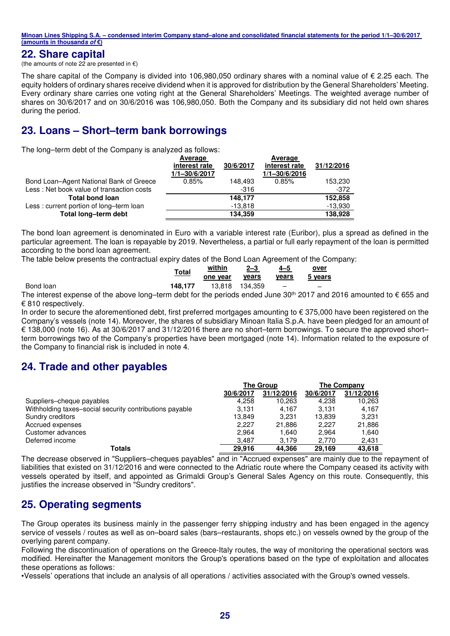#### **22. Share capital**

(the amounts of note 22 are presented in  $\epsilon$ )

The share capital of the Company is divided into 106,980,050 ordinary shares with a nominal value of  $\epsilon$  2.25 each. The equity holders of ordinary shares receive dividend when it is approved for distribution by the General Shareholders' Meeting. Every ordinary share carries one voting right at the General Shareholders' Meetings. The weighted average number of shares on 30/6/2017 and on 30/6/2016 was 106,980,050. Both the Company and its subsidiary did not held own shares during the period.

### **23. Loans – Short–term bank borrowings**

The long–term debt of the Company is analyzed as follows:

|                                           | Average       |           | Average           |            |
|-------------------------------------------|---------------|-----------|-------------------|------------|
|                                           | interest rate | 30/6/2017 | interest rate     | 31/12/2016 |
|                                           | 1/1-30/6/2017 |           | $1/1 - 30/6/2016$ |            |
| Bond Loan-Agent National Bank of Greece   | 0.85%         | 148.493   | 0.85%             | 153,230    |
| Less: Net book value of transaction costs |               | -316      |                   | -372       |
| <b>Total bond loan</b>                    |               | 148.177   |                   | 152,858    |
| Less: current portion of long-term loan   |               | $-13.818$ |                   | $-13,930$  |
| Total long-term debt                      |               | 134.359   |                   | 138.928    |

The bond loan agreement is denominated in Euro with a variable interest rate (Euribor), plus a spread as defined in the particular agreement. The loan is repayable by 2019. Nevertheless, a partial or full early repayment of the loan is permitted according to the bond loan agreement.

The table below presents the contractual expiry dates of the Bond Loan Agreement of the Company:

|           | <u>Total</u> | within<br><u>--------</u><br>one year | $2 - 3$<br><u>years</u> | 4–5<br><b>years</b>      | <u>over</u><br>5 years   |
|-----------|--------------|---------------------------------------|-------------------------|--------------------------|--------------------------|
| Bond loan | 148.177      | 13.818                                | 134.359                 | $\overline{\phantom{0}}$ | $\overline{\phantom{0}}$ |

The interest expense of the above long–term debt for the periods ended June 30<sup>th</sup> 2017 and 2016 amounted to  $\epsilon$  655 and € 810 respectively.

In order to secure the aforementioned debt, first preferred mortgages amounting to  $\epsilon$  375,000 have been registered on the Company's vessels (note 14). Moreover, the shares of subsidiary Minoan Italia S.p.Α. have been pledged for an amount of € 138,000 (note 16). As at 30/6/2017 and 31/12/2016 there are no short–term borrowings. To secure the approved short– term borrowings two of the Company's properties have been mortgaged (note 14). Information related to the exposure of the Company to financial risk is included in note 4.

### **24. Trade and other payables**

|                                                         |                         | <b>The Group</b> | The Company |            |
|---------------------------------------------------------|-------------------------|------------------|-------------|------------|
|                                                         | 31/12/2016<br>30/6/2017 |                  | 30/6/2017   | 31/12/2016 |
| Suppliers-cheque payables                               | 4,258                   | 10.263           | 4,238       | 10,263     |
| Withholding taxes-social security contributions payable | 3.131                   | 4.167            | 3.131       | 4,167      |
| Sundry creditors                                        | 13.849                  | 3.231            | 13.839      | 3.231      |
| Accrued expenses                                        | 2.227                   | 21,886           | 2.227       | 21,886     |
| Customer advances                                       | 2.964                   | 1.640            | 2.964       | 1,640      |
| Deferred income                                         | 3.487                   | 3,179            | 2.770       | 2,431      |
| <b>Totals</b>                                           | 29.916                  | 44.366           | 29.169      | 43,618     |

The decrease observed in "Suppliers–cheques payables" and in "Accrued expenses" are mainly due to the repayment of liabilities that existed on 31/12/2016 and were connected to the Adriatic route where the Company ceased its activity with vessels operated by itself, and appointed as Grimaldi Group's General Sales Agency on this route. Consequently, this justifies the increase observed in "Sundry creditors".

### **25. Operating segments**

The Group operates its business mainly in the passenger ferry shipping industry and has been engaged in the agency service of vessels / routes as well as on–board sales (bars–restaurants, shops etc.) on vessels owned by the group of the overlying parent company.

Following the discontinuation of operations on the Greece-Italy routes, the way of monitoring the operational sectors was modified. Hereinafter the Management monitors the Group's operations based on the type of exploitation and allocates these operations as follows:

•Vessels' operations that include an analysis of all operations / activities associated with the Group's owned vessels.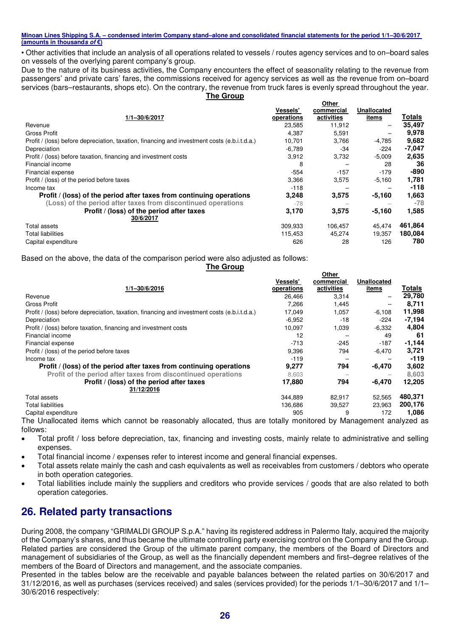• Other activities that include an analysis of all operations related to vessels / routes agency services and to on–board sales on vessels of the overlying parent company's group.

Due to the nature of its business activities, the Company encounters the effect of seasonality relating to the revenue from passengers' and private cars' fares, the commissions received for agency services as well as the revenue from on–board services (bars–restaurants, shops etc). On the contrary, the revenue from truck fares is evenly spread throughout the year. **The Group** 

|                                                                                              |            | Other      |                    |          |
|----------------------------------------------------------------------------------------------|------------|------------|--------------------|----------|
|                                                                                              | Vessels'   | commercial | <b>Unallocated</b> |          |
| 1/1-30/6/2017                                                                                | operations | activities | <u>items</u>       | Totals   |
| Revenue                                                                                      | 23,585     | 11,912     | -                  | 35,497   |
| <b>Gross Profit</b>                                                                          | 4.387      | 5,591      |                    | 9,978    |
| Profit / (loss) before depreciation, taxation, financing and investment costs (e.b.i.t.d.a.) | 10,701     | 3,766      | $-4,785$           | 9,682    |
| Depreciation                                                                                 | $-6.789$   | -34        | $-224$             | $-7,047$ |
| Profit / (loss) before taxation, financing and investment costs                              | 3,912      | 3,732      | $-5,009$           | 2,635    |
| Financial income                                                                             | 8          |            | 28                 | 36       |
| Financial expense                                                                            | $-554$     | $-157$     | $-179$             | -890     |
| Profit / (loss) of the period before taxes                                                   | 3.366      | 3,575      | $-5.160$           | 1,781    |
| Income tax                                                                                   | -118       |            |                    | $-118$   |
| Profit / (loss) of the period after taxes from continuing operations                         | 3,248      | 3,575      | -5,160             | 1,663    |
| (Loss) of the period after taxes from discontinued operations                                | -78        |            |                    | $-78$    |
| Profit / (loss) of the period after taxes<br>30/6/2017                                       | 3,170      | 3,575      | $-5,160$           | 1,585    |
| Total assets                                                                                 | 309,933    | 106,457    | 45,474             | 461,864  |
| <b>Total liabilities</b>                                                                     | 115,453    | 45,274     | 19.357             | 180,084  |
| Capital expenditure                                                                          | 626        | 28         | 126                | 780      |

Based on the above, the data of the comparison period were also adjusted as follows:

**The Group** 

|                                                                                              |            | Other      |                    |          |
|----------------------------------------------------------------------------------------------|------------|------------|--------------------|----------|
|                                                                                              | Vessels'   | commercial | <b>Unallocated</b> |          |
| $1/1 - 30/6/2016$                                                                            | operations | activities | items              | Totals   |
| Revenue                                                                                      | 26.466     | 3,314      | -                  | 29,780   |
| <b>Gross Profit</b>                                                                          | 7.266      | 1.445      |                    | 8,711    |
| Profit / (loss) before depreciation, taxation, financing and investment costs (e.b.i.t.d.a.) | 17,049     | 1,057      | $-6.108$           | 11,998   |
| Depreciation                                                                                 | $-6,952$   | $-18$      | $-224$             | $-7,194$ |
| Profit / (loss) before taxation, financing and investment costs                              | 10,097     | 1,039      | $-6,332$           | 4,804    |
| Financial income                                                                             | 12         |            | 49                 | 61       |
| Financial expense                                                                            | $-713$     | $-245$     | $-187$             | $-1,144$ |
| Profit / (loss) of the period before taxes                                                   | 9,396      | 794        | $-6.470$           | 3,721    |
| Income tax                                                                                   | $-119$     |            |                    | -119     |
| Profit / (loss) of the period after taxes from continuing operations                         | 9,277      | 794        | -6,470             | 3,602    |
| Profit of the period after taxes from discontinued operations                                | 8.603      |            |                    | 8.603    |
| Profit / (loss) of the period after taxes<br>31/12/2016                                      | 17,880     | 794        | -6.470             | 12,205   |
| Total assets                                                                                 | 344,889    | 82.917     | 52,565             | 480,371  |
| <b>Total liabilities</b>                                                                     | 136,686    | 39,527     | 23,963             | 200,176  |
| Capital expenditure                                                                          | 905        | 9          | 172                | 1,086    |

The Unallocated items which cannot be reasonably allocated, thus are totally monitored by Management analyzed as follows:

- Total profit / loss before depreciation, tax, financing and investing costs, mainly relate to administrative and selling expenses.
- Total financial income / expenses refer to interest income and general financial expenses.
- Total assets relate mainly the cash and cash equivalents as well as receivables from customers / debtors who operate in both operation categories.
- Total liabilities include mainly the suppliers and creditors who provide services / goods that are also related to both operation categories.

### **26. Related party transactions**

During 2008, the company "GRIMALDI GROUP S.p.A." having its registered address in Palermo Italy, acquired the majority of the Company's shares, and thus became the ultimate controlling party exercising control on the Company and the Group. Related parties are considered the Group of the ultimate parent company, the members of the Board of Directors and management of subsidiaries of the Group, as well as the financially dependent members and first–degree relatives of the members of the Board of Directors and management, and the associate companies.

Presented in the tables below are the receivable and payable balances between the related parties on 30/6/2017 and 31/12/2016, as well as purchases (services received) and sales (services provided) for the periods 1/1–30/6/2017 and 1/1– 30/6/2016 respectively: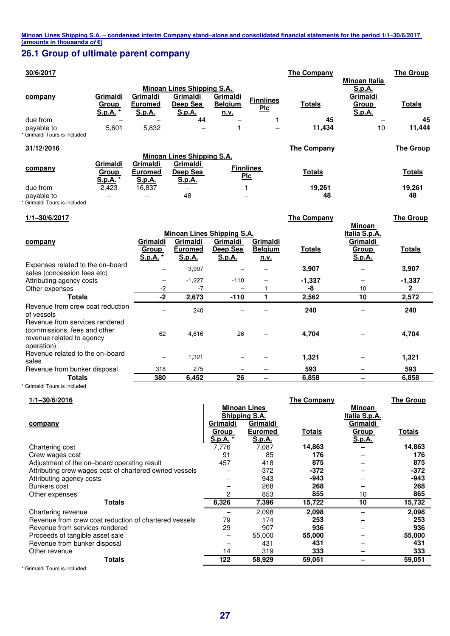### **26.1 Group of ultimate parent company**

| 30/6/2017                                                                                                 |                                             |                                                |                                                                                                       |                                |                                    | <b>The Company</b>      | Minoan Italia                                                 | <b>The Group</b>        |
|-----------------------------------------------------------------------------------------------------------|---------------------------------------------|------------------------------------------------|-------------------------------------------------------------------------------------------------------|--------------------------------|------------------------------------|-------------------------|---------------------------------------------------------------|-------------------------|
| company                                                                                                   | Grimaldi<br>Group<br>S.p.A.                 | Grimaldi<br><b>Euromed</b><br>S.p.A.           | Minoan Lines Shipping S.A.<br>Grimaldi<br>Deep Sea<br>S.p.A.                                          | Grimaldi<br><b>Belgium</b>     | <b>Finnlines</b><br><b>PIc</b>     | <b>Totals</b>           | S.p.A.<br>Grimaldi<br>Group<br>S.p.A.                         | <b>Totals</b>           |
| due from<br>payable to<br>Grimaldi Tours is included                                                      | 5,601                                       | 5,832                                          | 44                                                                                                    | n.v.<br>1                      | 1                                  | 45<br>11,434            | 10                                                            | 45<br>11,444            |
| 31/12/2016                                                                                                |                                             |                                                |                                                                                                       |                                |                                    | <b>The Company</b>      |                                                               | <b>The Group</b>        |
| company<br>due from                                                                                       | Grimaldi<br>Group<br><b>S.p.A.</b><br>2,423 | Grimaldi<br><b>Euromed</b><br>S.p.A.<br>16,837 | <b>Minoan Lines Shipping S.A.</b><br>Grimaldi<br>Deep Sea<br>S.p.A.<br>$\overline{\phantom{0}}$<br>48 |                                | <b>Finnlines</b><br>Plc<br>1       | <b>Totals</b><br>19,261 |                                                               | <b>Totals</b><br>19,261 |
| payable to<br>Grimaldi Tours is included                                                                  |                                             |                                                |                                                                                                       |                                |                                    | 48                      |                                                               | 48                      |
| 1/1-30/6/2017                                                                                             |                                             |                                                |                                                                                                       |                                |                                    | The Company             |                                                               | <b>The Group</b>        |
| company                                                                                                   |                                             | Grimaldi<br>Group<br>S.p.A.                    | <b>Minoan Lines Shipping S.A.</b><br>Grimaldi<br><b>Euromed</b><br>S.p.A.                             | Grimaldi<br>Deep Sea<br>S.p.A. | Grimaldi<br><b>Belgium</b><br>n.v. | <b>Totals</b>           | Minoan<br>Italia S.p.A.<br>Grimaldi<br><b>Group</b><br>S.p.A. | <b>Totals</b>           |
| Expenses related to the on-board<br>sales (concession fees etc)                                           |                                             | ۳                                              | 3,907                                                                                                 | $\equiv$                       | $\overline{\phantom{0}}$           | 3,907                   | ۳                                                             | 3,907                   |
| Attributing agency costs<br>Other expenses                                                                |                                             | $-2$                                           | $-1,227$<br>$-7$                                                                                      | $-110$                         | 1                                  | $-1,337$<br>-8          | -<br>10                                                       | $-1,337$<br>2           |
| <b>Totals</b>                                                                                             |                                             | $-2$                                           | 2,673                                                                                                 | $-110$                         | 1                                  | 2,562                   | 10                                                            | 2,572                   |
| Revenue from crew coat reduction<br>of vessels                                                            |                                             |                                                | 240                                                                                                   |                                |                                    | 240                     |                                                               | 240                     |
| Revenue from services rendered<br>(commissions, fees and other<br>revenue related to agency<br>operation) |                                             | 62                                             | 4,616                                                                                                 | 26                             |                                    | 4,704                   |                                                               | 4,704                   |
| Revenue related to the on-board<br>sales                                                                  |                                             |                                                | 1.321                                                                                                 |                                |                                    | 1,321                   |                                                               | 1,321                   |
| Revenue from bunker disposal                                                                              |                                             | 318                                            | 275                                                                                                   |                                |                                    | 593                     |                                                               | 593                     |

\* Grimaldi Tours is included

| $1/1 - 30/6/2016$                                      |              |                     | <b>The Company</b> |               | <b>The Group</b> |
|--------------------------------------------------------|--------------|---------------------|--------------------|---------------|------------------|
|                                                        |              | <b>Minoan Lines</b> |                    | <b>Minoan</b> |                  |
|                                                        |              | Shipping S.A.       |                    | Italia S.p.A. |                  |
| company                                                | Grimaldi     | Grimaldi            |                    | Grimaldi      |                  |
|                                                        | <b>Group</b> | <b>Euromed</b>      | <b>Totals</b>      | <b>Group</b>  | <u>Totals</u>    |
|                                                        | S.p.A. *     | S.p.A.              |                    | <u>S.p.A.</u> |                  |
| Chartering cost                                        | 7,776        | 7,087               | 14,863             |               | 14,863           |
| Crew wages cost                                        | 91           | 85                  | 176                |               | 176              |
| Adjustment of the on-board operating result            | 457          | 418                 | 875                |               | 875              |
| Attributing crew wages cost of chartered owned vessels |              | $-372$              | $-372$             |               | $-372$           |
| Attributing agency costs                               |              | $-943$              | -943               |               | -943             |
| Bunkers cost                                           |              | 268                 | 268                |               | 268              |
| Other expenses                                         | 2            | 853                 | 855                | 10            | 865              |
| Totals                                                 | 8,326        | 7,396               | 15,722             | 10            | 15,732           |
| Chartering revenue                                     |              | 2,098               | 2,098              |               | 2,098            |
| Revenue from crew coat reduction of chartered vessels  | 79           | 174                 | 253                |               | 253              |
| Revenue from services rendered                         | 29           | 907                 | 936                |               | 936              |
| Proceeds of tangible asset sale                        |              | 55,000              | 55,000             |               | 55,000           |
| Revenue from bunker disposal                           |              | 431                 | 431                |               | 431              |
| Other revenue                                          | 14           | 319                 | 333                |               | 333              |
| Totals                                                 | 122          | 58,929              | 59,051             |               | 59,051           |
| Outless a faith The come than the allocated at         |              |                     |                    |               |                  |

**Totals 380 6,452 26 – 6,858 – 6,858**

\* Grimaldi Tours is included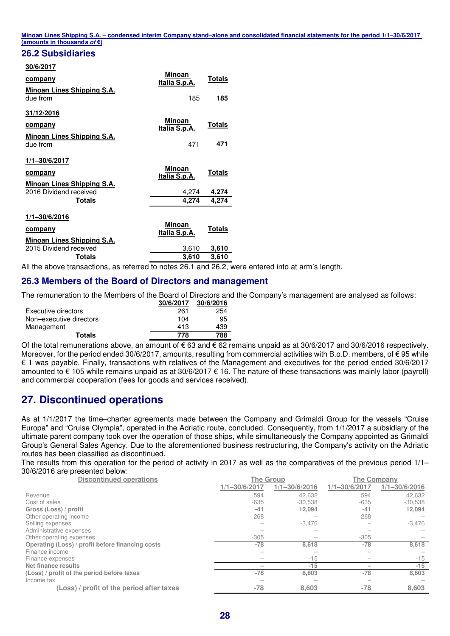#### **26.2 Subsidiaries**

#### **30/6/2017**

| company                                                       | <b>Minoan</b><br>Italia S.p.A. | <b>Totals</b> |
|---------------------------------------------------------------|--------------------------------|---------------|
| <b>Minoan Lines Shipping S.A.</b><br>due from                 | 185                            | 185           |
| 31/12/2016                                                    |                                |               |
| <b>company</b>                                                | Minoan<br>Italia S.p.A.        | <u>Totals</u> |
| <b>Minoan Lines Shipping S.A.</b><br>due from                 | 471                            | 471           |
| 1/1-30/6/2017                                                 |                                |               |
| company                                                       | Minoan<br>Italia S.p.A.        | Totals        |
| Minoan Lines Shipping S.A.<br>2016 Dividend received          | 4,274                          | 4,274         |
| <b>Totals</b>                                                 | 4.274                          | 4,274         |
| 1/1-30/6/2016<br>company<br><b>Minoan Lines Shipping S.A.</b> | Minoan<br>Italia S.p.A.        | Totals        |
| 2015 Dividend received                                        | 3,610                          | 3,610         |
| <b>Totals</b>                                                 | 3,610                          | 3,610         |

All the above transactions, as referred to notes 26.1 and 26.2, were entered into at arm's length.

#### **26.3 Members of the Board of Directors and management**

The remuneration to the Members of the Board of Directors and the Company's management are analysed as follows:

|                         | 30/6/2017 | 30/6/2016 |
|-------------------------|-----------|-----------|
| Executive directors     | 261       | 254       |
| Non-executive directors | 104       | 95        |
| Management              | 413       | 439       |
| <b>Totals</b>           | 778       | 788       |

Of the total remunerations above, an amount of €63 and €62 remains unpaid as at 30/6/2017 and 30/6/2016 respectively. Moreover, for the period ended 30/6/2017, amounts, resulting from commercial activities with B.o.D. members, of  $\epsilon$  95 while € 1 was payable. Finally, transactions with relatives of the Management and executives for the period ended 30/6/2017 amounted to € 105 while remains unpaid as at 30/6/2017 € 16. The nature of these transactions was mainly labor (payroll) and commercial cooperation (fees for goods and services received).

### **27. Discontinued operations**

As at 1/1/2017 the time–charter agreements made between the Company and Grimaldi Group for the vessels "Cruise Europa" and "Cruise Olympia", operated in the Adriatic route, concluded. Consequently, from 1/1/2017 a subsidiary of the ultimate parent company took over the operation of those ships, while simultaneously the Company appointed as Grimaldi Group's General Sales Agency. Due to the aforementioned business restructuring, the Company's activity on the Adriatic routes has been classified as discontinued.

The results from this operation for the period of activity in 2017 as well as the comparatives of the previous period 1/1– 30/6/2016 are presented below:

| <b>Discontinued operations</b>                   | <b>The Group</b>  |                   | The Company       |                   |  |  |
|--------------------------------------------------|-------------------|-------------------|-------------------|-------------------|--|--|
|                                                  | $1/1 - 30/6/2017$ | $1/1 - 30/6/2016$ | $1/1 - 30/6/2017$ | $1/1 - 30/6/2016$ |  |  |
| Revenue                                          | 594               | 42.632            | 594               | 42.632            |  |  |
| Cost of sales                                    | $-635$            | $-30,538$         | $-635$            | $-30,538$         |  |  |
| Gross (Loss) / profit                            | $-41$             | 12,094            | $-41$             | 12,094            |  |  |
| Other operating income                           | 268               |                   | 268               |                   |  |  |
| Selling expenses                                 |                   | $-3,476$          |                   | $-3,476$          |  |  |
| Administrative expenses                          |                   |                   |                   |                   |  |  |
| Other operating expenses                         | $-305$            |                   | $-305$            |                   |  |  |
| Operating (Loss) / profit before financing costs | $-78$             | 8,618             | $-78$             | 8,618             |  |  |
| Finance income                                   |                   |                   |                   |                   |  |  |
| Finance expenses                                 |                   | $-15$             |                   | $-15$             |  |  |
| Net finance results                              |                   | $-15$             |                   | $-15$             |  |  |
| (Loss) / profit of the period before taxes       | $-78$             | 8,603             | $-78$             | 8,603             |  |  |
| Income tax                                       |                   |                   |                   |                   |  |  |
| (Loss) / profit of the period after taxes        | $-78$             | 8,603             | $-78$             | 8,603             |  |  |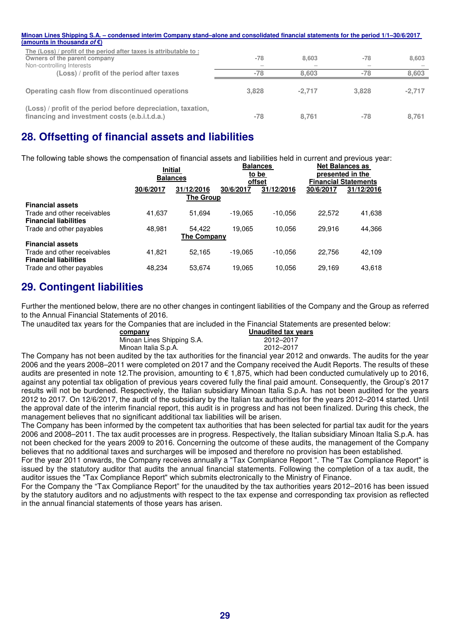| Minoan Lines Shipping S.A. – condensed interim Company stand–alone and consolidated financial statements for the period 1/1–30/6/2017 |                                   |          |       |          |
|---------------------------------------------------------------------------------------------------------------------------------------|-----------------------------------|----------|-------|----------|
| (amounts in thousands of $\varepsilon$ )                                                                                              |                                   |          |       |          |
| The (Loss) / profit of the period after taxes is attributable to:<br>Owners of the parent company<br>Non-controlling Interests        | $-78$<br>$\overline{\phantom{a}}$ | 8.603    | $-78$ | 8.603    |
| (Loss) / profit of the period after taxes                                                                                             | $-78$                             | 8.603    | $-78$ | 8.603    |
| Operating cash flow from discontinued operations                                                                                      | 3,828                             | $-2.717$ | 3.828 | $-2.717$ |
| (Loss) / profit of the period before depreciation, taxation,<br>financing and investment costs (e.b.i.t.d.a.)                         | $-78$                             | 8.761    | $-78$ | 8,761    |

### **28. Offsetting of financial assets and liabilities**

The following table shows the compensation of financial assets and liabilities held in current and previous year:

|                                                             | <b>Initial</b><br><b>Balances</b> |                    |           | <b>Balances</b><br>to be<br>offset | <b>Net Balances as</b><br>presented in the<br><b>Financial Statements</b> |            |  |
|-------------------------------------------------------------|-----------------------------------|--------------------|-----------|------------------------------------|---------------------------------------------------------------------------|------------|--|
|                                                             | 30/6/2017                         | 31/12/2016         | 30/6/2017 | 31/12/2016                         | 30/6/2017                                                                 | 31/12/2016 |  |
|                                                             |                                   | <b>The Group</b>   |           |                                    |                                                                           |            |  |
| <b>Financial assets</b>                                     |                                   |                    |           |                                    |                                                                           |            |  |
| Trade and other receivables<br><b>Financial liabilities</b> | 41,637                            | 51,694             | $-19.065$ | $-10.056$                          | 22.572                                                                    | 41,638     |  |
| Trade and other payables                                    | 48,981                            | 54.422             | 19.065    | 10.056                             | 29.916                                                                    | 44,366     |  |
|                                                             |                                   | <b>The Company</b> |           |                                    |                                                                           |            |  |
| <b>Financial assets</b>                                     |                                   |                    |           |                                    |                                                                           |            |  |
| Trade and other receivables<br><b>Financial liabilities</b> | 41.821                            | 52,165             | $-19.065$ | $-10.056$                          | 22,756                                                                    | 42,109     |  |
| Trade and other payables                                    | 48.234                            | 53.674             | 19.065    | 10.056                             | 29.169                                                                    | 43,618     |  |

### **29. Contingent liabilities**

Further the mentioned below, there are no other changes in contingent liabilities of the Company and the Group as referred to the Annual Financial Statements of 2016.

The unaudited tax years for the Companies that are included in the Financial Statements are presented below:

| company                    | Unaudited tax years |
|----------------------------|---------------------|
| Minoan Lines Shipping S.A. | 2012–2017           |
| Minoan Italia S.p.A.       | 2012-2017           |

The Company has not been audited by the tax authorities for the financial year 2012 and onwards. The audits for the year 2006 and the years 2008–2011 were completed on 2017 and the Company received the Audit Reports. The results of these audits are presented in note 12.The provision, amounting to € 1,875, which had been conducted cumulatively up to 2016, against any potential tax obligation of previous years covered fully the final paid amount. Consequently, the Group's 2017 results will not be burdened. Respectively, the Italian subsidiary Minoan Italia S.p.A. has not been audited for the years 2012 to 2017. On 12/6/2017, the audit of the subsidiary by the Italian tax authorities for the years 2012–2014 started. Until the approval date of the interim financial report, this audit is in progress and has not been finalized. During this check, the management believes that no significant additional tax liabilities will be arisen.

The Company has been informed by the competent tax authorities that has been selected for partial tax audit for the years 2006 and 2008–2011. The tax audit processes are in progress. Respectively, the Italian subsidiary Minoan Italia S.p.A. has not been checked for the years 2009 to 2016. Concerning the outcome of these audits, the management of the Company believes that no additional taxes and surcharges will be imposed and therefore no provision has been established.

For the year 2011 onwards, the Company receives annually a "Tax Compliance Report ". The "Tax Compliance Report" is issued by the statutory auditor that audits the annual financial statements. Following the completion of a tax audit, the auditor issues the "Tax Compliance Report" which submits electronically to the Ministry of Finance.

For the Company the "Tax Compliance Report" for the unaudited by the tax authorities years 2012–2016 has been issued by the statutory auditors and no adjustments with respect to the tax expense and corresponding tax provision as reflected in the annual financial statements of those years has arisen.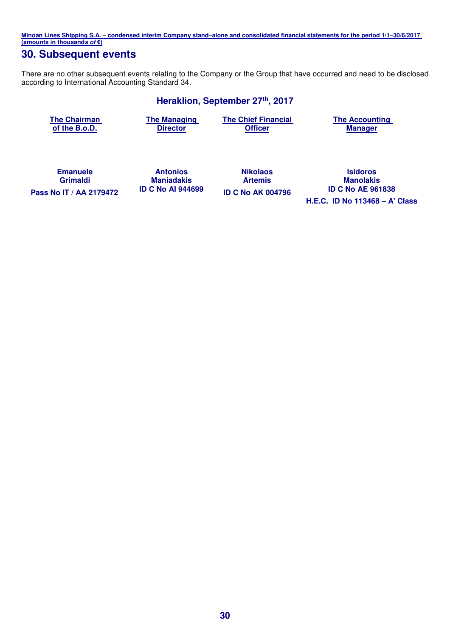### **30. Subsequent events**

There are no other subsequent events relating to the Company or the Group that have occurred and need to be disclosed according to International Accounting Standard 34.

#### **Heraklion, September 27th, 2017**

**The Chairman of the B.o.D.** 

**The Managing Director** 

**The Chief Financial Officer** 

**The Accounting Manager** 

**Emanuele Grimaldi Pass Nο IT / ΑΑ 2179472 ID C No AI 944699 ID C No AΚ 004796 ID C No AE 961838**

**Antonios Maniadakis**  **Nikolaos Artemis** 

**Isidoros Manolakis<br>
<b>ID C No AE 961838 H.E.C. ID No 113468 – A' Class**